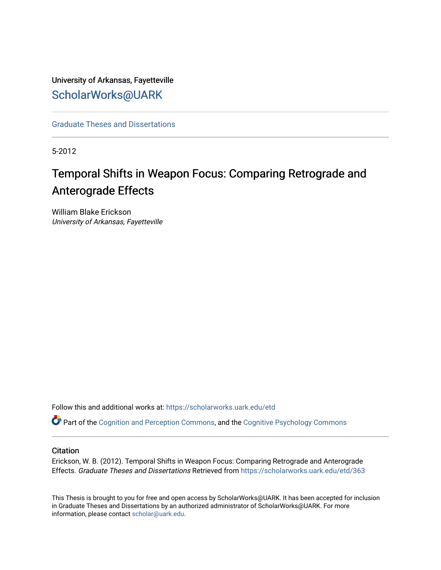University of Arkansas, Fayetteville [ScholarWorks@UARK](https://scholarworks.uark.edu/) 

[Graduate Theses and Dissertations](https://scholarworks.uark.edu/etd) 

5-2012

# Temporal Shifts in Weapon Focus: Comparing Retrograde and Anterograde Effects

William Blake Erickson University of Arkansas, Fayetteville

Follow this and additional works at: [https://scholarworks.uark.edu/etd](https://scholarworks.uark.edu/etd?utm_source=scholarworks.uark.edu%2Fetd%2F363&utm_medium=PDF&utm_campaign=PDFCoverPages)

Part of the [Cognition and Perception Commons,](http://network.bepress.com/hgg/discipline/407?utm_source=scholarworks.uark.edu%2Fetd%2F363&utm_medium=PDF&utm_campaign=PDFCoverPages) and the [Cognitive Psychology Commons](http://network.bepress.com/hgg/discipline/408?utm_source=scholarworks.uark.edu%2Fetd%2F363&utm_medium=PDF&utm_campaign=PDFCoverPages) 

### **Citation**

Erickson, W. B. (2012). Temporal Shifts in Weapon Focus: Comparing Retrograde and Anterograde Effects. Graduate Theses and Dissertations Retrieved from [https://scholarworks.uark.edu/etd/363](https://scholarworks.uark.edu/etd/363?utm_source=scholarworks.uark.edu%2Fetd%2F363&utm_medium=PDF&utm_campaign=PDFCoverPages)

This Thesis is brought to you for free and open access by ScholarWorks@UARK. It has been accepted for inclusion in Graduate Theses and Dissertations by an authorized administrator of ScholarWorks@UARK. For more information, please contact [scholar@uark.edu.](mailto:scholar@uark.edu)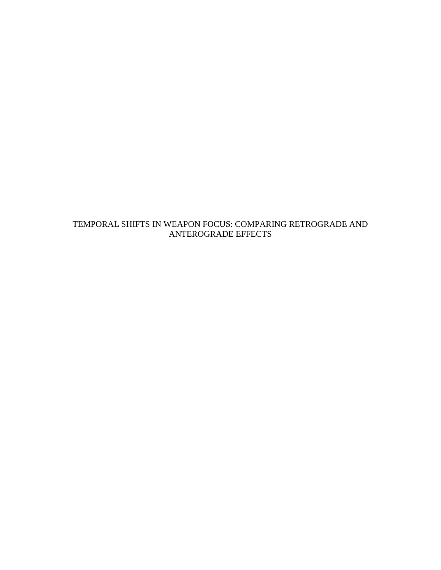TEMPORAL SHIFTS IN WEAPON FOCUS: COMPARING RETROGRADE AND ANTEROGRADE EFFECTS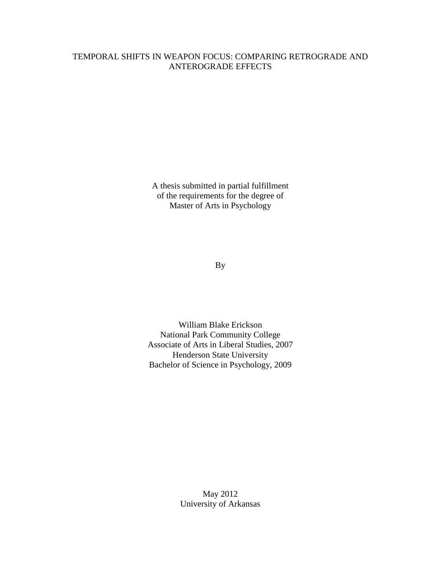### TEMPORAL SHIFTS IN WEAPON FOCUS: COMPARING RETROGRADE AND ANTEROGRADE EFFECTS

A thesis submitted in partial fulfillment of the requirements for the degree of Master of Arts in Psychology

By

William Blake Erickson National Park Community College Associate of Arts in Liberal Studies, 2007 Henderson State University Bachelor of Science in Psychology, 2009

> May 2012 University of Arkansas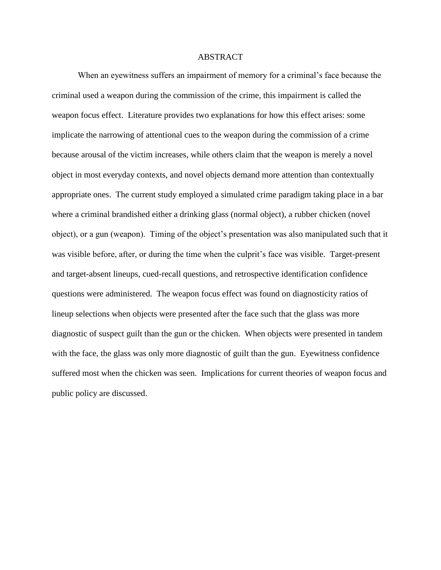### ABSTRACT

When an eyewitness suffers an impairment of memory for a criminal's face because the criminal used a weapon during the commission of the crime, this impairment is called the weapon focus effect. Literature provides two explanations for how this effect arises: some implicate the narrowing of attentional cues to the weapon during the commission of a crime because arousal of the victim increases, while others claim that the weapon is merely a novel object in most everyday contexts, and novel objects demand more attention than contextually appropriate ones. The current study employed a simulated crime paradigm taking place in a bar where a criminal brandished either a drinking glass (normal object), a rubber chicken (novel object), or a gun (weapon). Timing of the object's presentation was also manipulated such that it was visible before, after, or during the time when the culprit's face was visible. Target-present and target-absent lineups, cued-recall questions, and retrospective identification confidence questions were administered. The weapon focus effect was found on diagnosticity ratios of lineup selections when objects were presented after the face such that the glass was more diagnostic of suspect guilt than the gun or the chicken. When objects were presented in tandem with the face, the glass was only more diagnostic of guilt than the gun. Eyewitness confidence suffered most when the chicken was seen. Implications for current theories of weapon focus and public policy are discussed.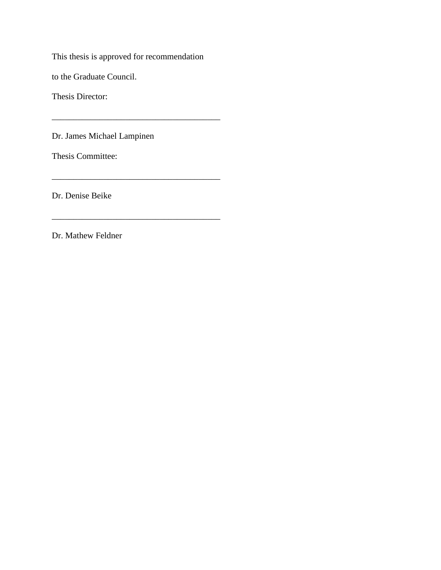This thesis is approved for recommendation

\_\_\_\_\_\_\_\_\_\_\_\_\_\_\_\_\_\_\_\_\_\_\_\_\_\_\_\_\_\_\_\_\_\_\_\_\_\_\_

\_\_\_\_\_\_\_\_\_\_\_\_\_\_\_\_\_\_\_\_\_\_\_\_\_\_\_\_\_\_\_\_\_\_\_\_\_\_\_

\_\_\_\_\_\_\_\_\_\_\_\_\_\_\_\_\_\_\_\_\_\_\_\_\_\_\_\_\_\_\_\_\_\_\_\_\_\_\_

to the Graduate Council.

Thesis Director:

Dr. James Michael Lampinen

Thesis Committee:

Dr. Denise Beike

Dr. Mathew Feldner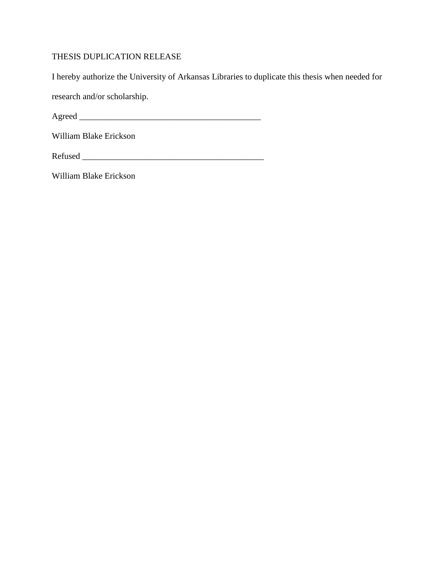### THESIS DUPLICATION RELEASE

I hereby authorize the University of Arkansas Libraries to duplicate this thesis when needed for

research and/or scholarship.

Agreed \_\_\_\_\_\_\_\_\_\_\_\_\_\_\_\_\_\_\_\_\_\_\_\_\_\_\_\_\_\_\_\_\_\_\_\_\_\_\_\_\_\_

William Blake Erickson

Refused \_\_\_\_\_\_\_\_\_\_\_\_\_\_\_\_\_\_\_\_\_\_\_\_\_\_\_\_\_\_\_\_\_\_\_\_\_\_\_\_\_\_

William Blake Erickson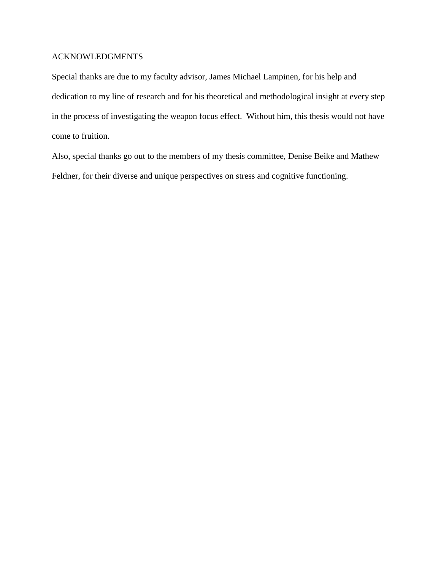### ACKNOWLEDGMENTS

Special thanks are due to my faculty advisor, James Michael Lampinen, for his help and dedication to my line of research and for his theoretical and methodological insight at every step in the process of investigating the weapon focus effect. Without him, this thesis would not have come to fruition.

Also, special thanks go out to the members of my thesis committee, Denise Beike and Mathew Feldner, for their diverse and unique perspectives on stress and cognitive functioning.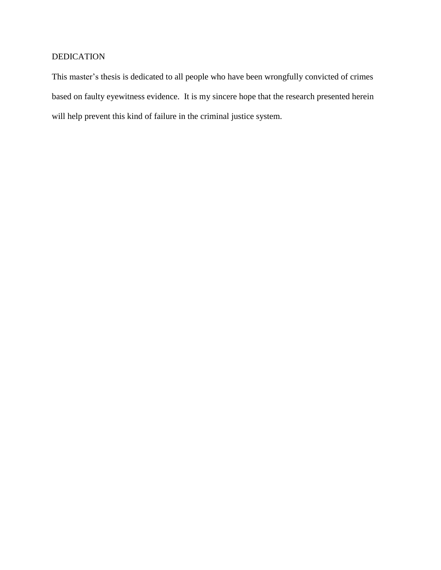## DEDICATION

This master's thesis is dedicated to all people who have been wrongfully convicted of crimes based on faulty eyewitness evidence. It is my sincere hope that the research presented herein will help prevent this kind of failure in the criminal justice system.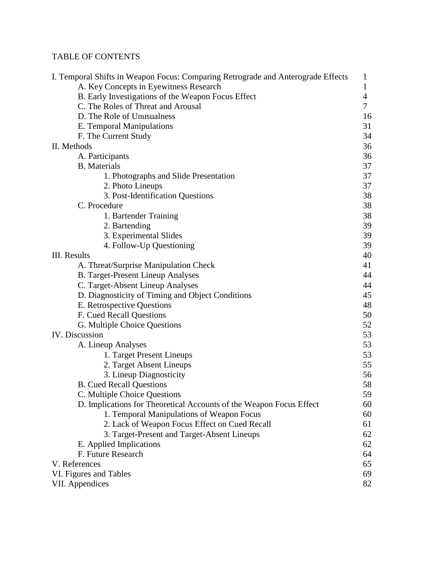# TABLE OF CONTENTS

| I. Temporal Shifts in Weapon Focus: Comparing Retrograde and Anterograde Effects | 1              |
|----------------------------------------------------------------------------------|----------------|
| A. Key Concepts in Eyewitness Research                                           | 1              |
| B. Early Investigations of the Weapon Focus Effect                               | $\overline{4}$ |
| C. The Roles of Threat and Arousal                                               | 7              |
| D. The Role of Unusualness                                                       | 16             |
| E. Temporal Manipulations                                                        | 31             |
| F. The Current Study                                                             | 34             |
| II. Methods                                                                      | 36             |
| A. Participants                                                                  | 36             |
| <b>B.</b> Materials                                                              | 37             |
| 1. Photographs and Slide Presentation                                            | 37             |
| 2. Photo Lineups                                                                 | 37             |
| 3. Post-Identification Questions                                                 | 38             |
| C. Procedure                                                                     | 38             |
| 1. Bartender Training                                                            | 38             |
| 2. Bartending                                                                    | 39             |
| 3. Experimental Slides                                                           | 39             |
| 4. Follow-Up Questioning                                                         | 39             |
| III. Results                                                                     | 40             |
| A. Threat/Surprise Manipulation Check                                            | 41             |
| <b>B. Target-Present Lineup Analyses</b>                                         | 44             |
| C. Target-Absent Lineup Analyses                                                 | 44             |
| D. Diagnosticity of Timing and Object Conditions                                 | 45             |
| E. Retrospective Questions                                                       | 48             |
| F. Cued Recall Questions                                                         | 50             |
| G. Multiple Choice Questions                                                     | 52             |
| IV. Discussion                                                                   | 53             |
| A. Lineup Analyses                                                               | 53             |
| 1. Target Present Lineups                                                        | 53             |
| 2. Target Absent Lineups                                                         | 55             |
| 3. Lineup Diagnosticity                                                          | 56             |
| <b>B.</b> Cued Recall Questions                                                  | 58             |
| C. Multiple Choice Questions                                                     | 59             |
| D. Implications for Theoretical Accounts of the Weapon Focus Effect              | 60             |
| 1. Temporal Manipulations of Weapon Focus                                        | 60             |
| 2. Lack of Weapon Focus Effect on Cued Recall                                    | 61             |
| 3. Target-Present and Target-Absent Lineups                                      | 62             |
| E. Applied Implications                                                          | 62             |
| F. Future Research                                                               | 64             |
| V. References                                                                    | 65             |
| VI. Figures and Tables                                                           | 69             |
| VII. Appendices                                                                  | 82             |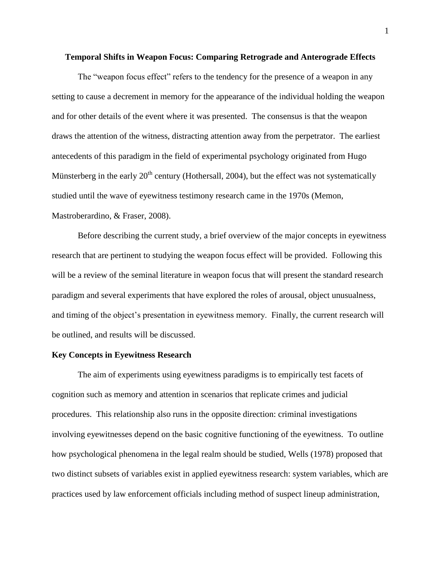#### **Temporal Shifts in Weapon Focus: Comparing Retrograde and Anterograde Effects**

The "weapon focus effect" refers to the tendency for the presence of a weapon in any setting to cause a decrement in memory for the appearance of the individual holding the weapon and for other details of the event where it was presented. The consensus is that the weapon draws the attention of the witness, distracting attention away from the perpetrator. The earliest antecedents of this paradigm in the field of experimental psychology originated from Hugo Münsterberg in the early  $20<sup>th</sup>$  century (Hothersall, 2004), but the effect was not systematically studied until the wave of eyewitness testimony research came in the 1970s (Memon, Mastroberardino, & Fraser, 2008).

Before describing the current study, a brief overview of the major concepts in eyewitness research that are pertinent to studying the weapon focus effect will be provided. Following this will be a review of the seminal literature in weapon focus that will present the standard research paradigm and several experiments that have explored the roles of arousal, object unusualness, and timing of the object's presentation in eyewitness memory. Finally, the current research will be outlined, and results will be discussed.

### **Key Concepts in Eyewitness Research**

The aim of experiments using eyewitness paradigms is to empirically test facets of cognition such as memory and attention in scenarios that replicate crimes and judicial procedures. This relationship also runs in the opposite direction: criminal investigations involving eyewitnesses depend on the basic cognitive functioning of the eyewitness. To outline how psychological phenomena in the legal realm should be studied, Wells (1978) proposed that two distinct subsets of variables exist in applied eyewitness research: system variables, which are practices used by law enforcement officials including method of suspect lineup administration,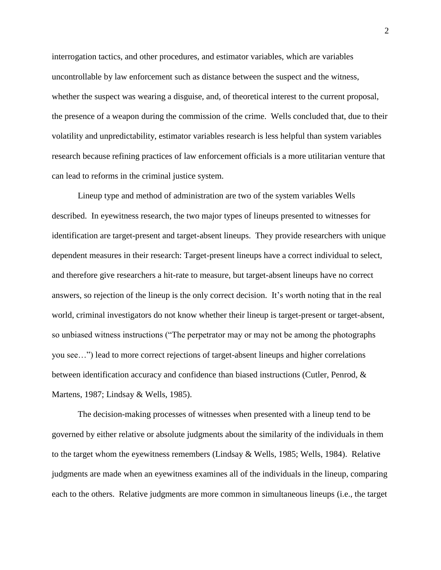interrogation tactics, and other procedures, and estimator variables, which are variables uncontrollable by law enforcement such as distance between the suspect and the witness, whether the suspect was wearing a disguise, and, of theoretical interest to the current proposal, the presence of a weapon during the commission of the crime. Wells concluded that, due to their volatility and unpredictability, estimator variables research is less helpful than system variables research because refining practices of law enforcement officials is a more utilitarian venture that can lead to reforms in the criminal justice system.

Lineup type and method of administration are two of the system variables Wells described. In eyewitness research, the two major types of lineups presented to witnesses for identification are target-present and target-absent lineups. They provide researchers with unique dependent measures in their research: Target-present lineups have a correct individual to select, and therefore give researchers a hit-rate to measure, but target-absent lineups have no correct answers, so rejection of the lineup is the only correct decision. It's worth noting that in the real world, criminal investigators do not know whether their lineup is target-present or target-absent, so unbiased witness instructions ("The perpetrator may or may not be among the photographs you see…") lead to more correct rejections of target-absent lineups and higher correlations between identification accuracy and confidence than biased instructions (Cutler, Penrod, & Martens, 1987; Lindsay & Wells, 1985).

The decision-making processes of witnesses when presented with a lineup tend to be governed by either relative or absolute judgments about the similarity of the individuals in them to the target whom the eyewitness remembers (Lindsay & Wells, 1985; Wells, 1984). Relative judgments are made when an eyewitness examines all of the individuals in the lineup, comparing each to the others. Relative judgments are more common in simultaneous lineups (i.e., the target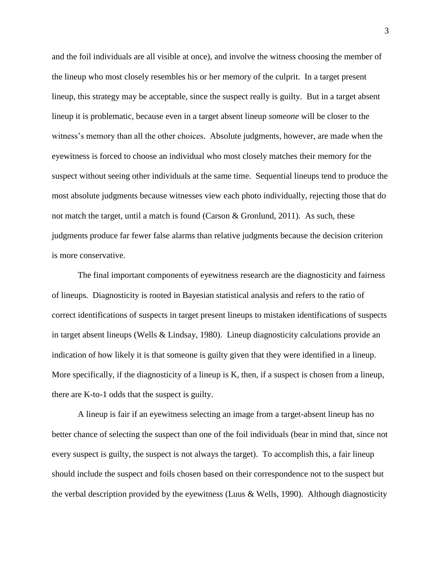and the foil individuals are all visible at once), and involve the witness choosing the member of the lineup who most closely resembles his or her memory of the culprit. In a target present lineup, this strategy may be acceptable, since the suspect really is guilty. But in a target absent lineup it is problematic, because even in a target absent lineup *someone* will be closer to the witness's memory than all the other choices. Absolute judgments, however, are made when the eyewitness is forced to choose an individual who most closely matches their memory for the suspect without seeing other individuals at the same time. Sequential lineups tend to produce the most absolute judgments because witnesses view each photo individually, rejecting those that do not match the target, until a match is found (Carson & Gronlund, 2011). As such, these judgments produce far fewer false alarms than relative judgments because the decision criterion is more conservative.

The final important components of eyewitness research are the diagnosticity and fairness of lineups. Diagnosticity is rooted in Bayesian statistical analysis and refers to the ratio of correct identifications of suspects in target present lineups to mistaken identifications of suspects in target absent lineups (Wells & Lindsay, 1980). Lineup diagnosticity calculations provide an indication of how likely it is that someone is guilty given that they were identified in a lineup. More specifically, if the diagnosticity of a lineup is K, then, if a suspect is chosen from a lineup, there are K-to-1 odds that the suspect is guilty.

A lineup is fair if an eyewitness selecting an image from a target-absent lineup has no better chance of selecting the suspect than one of the foil individuals (bear in mind that, since not every suspect is guilty, the suspect is not always the target). To accomplish this, a fair lineup should include the suspect and foils chosen based on their correspondence not to the suspect but the verbal description provided by the eyewitness (Luus & Wells, 1990). Although diagnosticity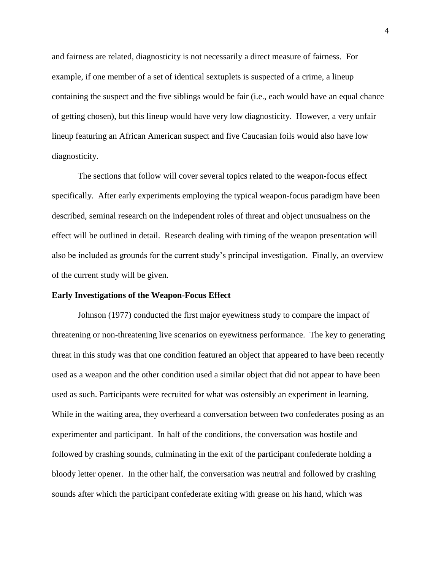and fairness are related, diagnosticity is not necessarily a direct measure of fairness. For example, if one member of a set of identical sextuplets is suspected of a crime, a lineup containing the suspect and the five siblings would be fair (i.e., each would have an equal chance of getting chosen), but this lineup would have very low diagnosticity. However, a very unfair lineup featuring an African American suspect and five Caucasian foils would also have low diagnosticity.

The sections that follow will cover several topics related to the weapon-focus effect specifically. After early experiments employing the typical weapon-focus paradigm have been described, seminal research on the independent roles of threat and object unusualness on the effect will be outlined in detail. Research dealing with timing of the weapon presentation will also be included as grounds for the current study's principal investigation. Finally, an overview of the current study will be given.

#### **Early Investigations of the Weapon-Focus Effect**

Johnson (1977) conducted the first major eyewitness study to compare the impact of threatening or non-threatening live scenarios on eyewitness performance. The key to generating threat in this study was that one condition featured an object that appeared to have been recently used as a weapon and the other condition used a similar object that did not appear to have been used as such. Participants were recruited for what was ostensibly an experiment in learning. While in the waiting area, they overheard a conversation between two confederates posing as an experimenter and participant. In half of the conditions, the conversation was hostile and followed by crashing sounds, culminating in the exit of the participant confederate holding a bloody letter opener. In the other half, the conversation was neutral and followed by crashing sounds after which the participant confederate exiting with grease on his hand, which was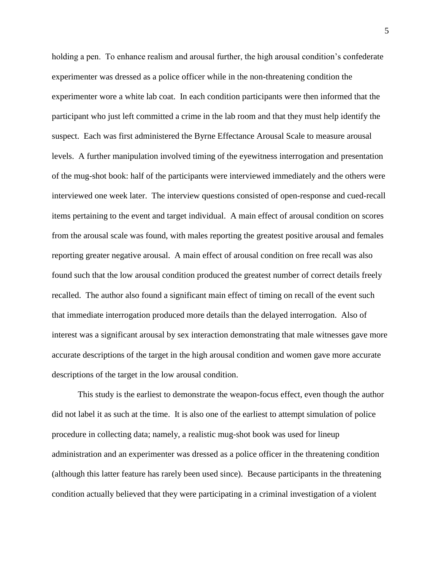holding a pen. To enhance realism and arousal further, the high arousal condition's confederate experimenter was dressed as a police officer while in the non-threatening condition the experimenter wore a white lab coat. In each condition participants were then informed that the participant who just left committed a crime in the lab room and that they must help identify the suspect. Each was first administered the Byrne Effectance Arousal Scale to measure arousal levels. A further manipulation involved timing of the eyewitness interrogation and presentation of the mug-shot book: half of the participants were interviewed immediately and the others were interviewed one week later. The interview questions consisted of open-response and cued-recall items pertaining to the event and target individual. A main effect of arousal condition on scores from the arousal scale was found, with males reporting the greatest positive arousal and females reporting greater negative arousal. A main effect of arousal condition on free recall was also found such that the low arousal condition produced the greatest number of correct details freely recalled. The author also found a significant main effect of timing on recall of the event such that immediate interrogation produced more details than the delayed interrogation. Also of interest was a significant arousal by sex interaction demonstrating that male witnesses gave more accurate descriptions of the target in the high arousal condition and women gave more accurate descriptions of the target in the low arousal condition.

This study is the earliest to demonstrate the weapon-focus effect, even though the author did not label it as such at the time. It is also one of the earliest to attempt simulation of police procedure in collecting data; namely, a realistic mug-shot book was used for lineup administration and an experimenter was dressed as a police officer in the threatening condition (although this latter feature has rarely been used since). Because participants in the threatening condition actually believed that they were participating in a criminal investigation of a violent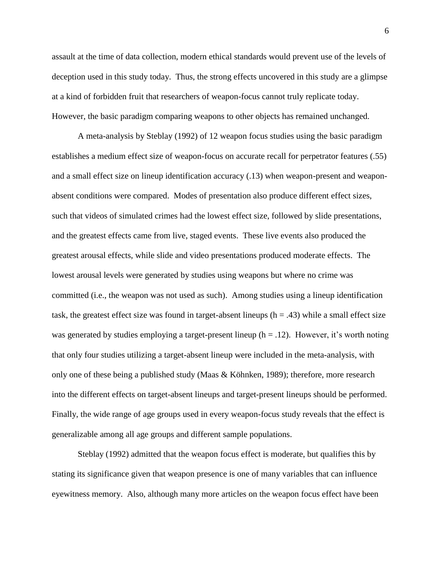assault at the time of data collection, modern ethical standards would prevent use of the levels of deception used in this study today. Thus, the strong effects uncovered in this study are a glimpse at a kind of forbidden fruit that researchers of weapon-focus cannot truly replicate today. However, the basic paradigm comparing weapons to other objects has remained unchanged.

A meta-analysis by Steblay (1992) of 12 weapon focus studies using the basic paradigm establishes a medium effect size of weapon-focus on accurate recall for perpetrator features (.55) and a small effect size on lineup identification accuracy (.13) when weapon-present and weaponabsent conditions were compared. Modes of presentation also produce different effect sizes, such that videos of simulated crimes had the lowest effect size, followed by slide presentations, and the greatest effects came from live, staged events. These live events also produced the greatest arousal effects, while slide and video presentations produced moderate effects. The lowest arousal levels were generated by studies using weapons but where no crime was committed (i.e., the weapon was not used as such). Among studies using a lineup identification task, the greatest effect size was found in target-absent lineups  $(h = .43)$  while a small effect size was generated by studies employing a target-present lineup ( $h = .12$ ). However, it's worth noting that only four studies utilizing a target-absent lineup were included in the meta-analysis, with only one of these being a published study (Maas & Köhnken, 1989); therefore, more research into the different effects on target-absent lineups and target-present lineups should be performed. Finally, the wide range of age groups used in every weapon-focus study reveals that the effect is generalizable among all age groups and different sample populations.

Steblay (1992) admitted that the weapon focus effect is moderate, but qualifies this by stating its significance given that weapon presence is one of many variables that can influence eyewitness memory. Also, although many more articles on the weapon focus effect have been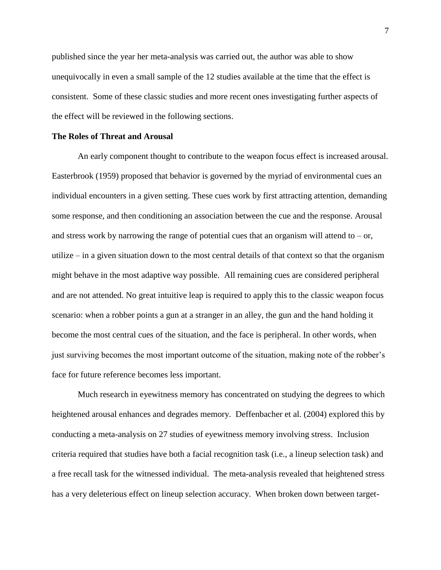published since the year her meta-analysis was carried out, the author was able to show unequivocally in even a small sample of the 12 studies available at the time that the effect is consistent. Some of these classic studies and more recent ones investigating further aspects of the effect will be reviewed in the following sections.

### **The Roles of Threat and Arousal**

An early component thought to contribute to the weapon focus effect is increased arousal. Easterbrook (1959) proposed that behavior is governed by the myriad of environmental cues an individual encounters in a given setting. These cues work by first attracting attention, demanding some response, and then conditioning an association between the cue and the response. Arousal and stress work by narrowing the range of potential cues that an organism will attend to  $-$  or, utilize – in a given situation down to the most central details of that context so that the organism might behave in the most adaptive way possible. All remaining cues are considered peripheral and are not attended. No great intuitive leap is required to apply this to the classic weapon focus scenario: when a robber points a gun at a stranger in an alley, the gun and the hand holding it become the most central cues of the situation, and the face is peripheral. In other words, when just surviving becomes the most important outcome of the situation, making note of the robber's face for future reference becomes less important.

Much research in eyewitness memory has concentrated on studying the degrees to which heightened arousal enhances and degrades memory. Deffenbacher et al. (2004) explored this by conducting a meta-analysis on 27 studies of eyewitness memory involving stress. Inclusion criteria required that studies have both a facial recognition task (i.e., a lineup selection task) and a free recall task for the witnessed individual. The meta-analysis revealed that heightened stress has a very deleterious effect on lineup selection accuracy. When broken down between target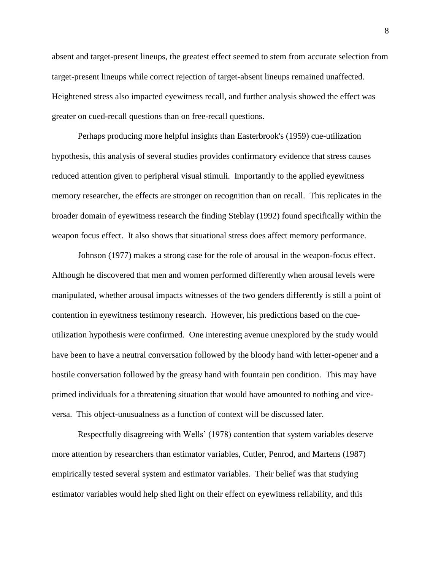absent and target-present lineups, the greatest effect seemed to stem from accurate selection from target-present lineups while correct rejection of target-absent lineups remained unaffected. Heightened stress also impacted eyewitness recall, and further analysis showed the effect was greater on cued-recall questions than on free-recall questions.

Perhaps producing more helpful insights than Easterbrook's (1959) cue-utilization hypothesis, this analysis of several studies provides confirmatory evidence that stress causes reduced attention given to peripheral visual stimuli. Importantly to the applied eyewitness memory researcher, the effects are stronger on recognition than on recall. This replicates in the broader domain of eyewitness research the finding Steblay (1992) found specifically within the weapon focus effect. It also shows that situational stress does affect memory performance.

Johnson (1977) makes a strong case for the role of arousal in the weapon-focus effect. Although he discovered that men and women performed differently when arousal levels were manipulated, whether arousal impacts witnesses of the two genders differently is still a point of contention in eyewitness testimony research. However, his predictions based on the cueutilization hypothesis were confirmed. One interesting avenue unexplored by the study would have been to have a neutral conversation followed by the bloody hand with letter-opener and a hostile conversation followed by the greasy hand with fountain pen condition. This may have primed individuals for a threatening situation that would have amounted to nothing and viceversa. This object-unusualness as a function of context will be discussed later.

Respectfully disagreeing with Wells' (1978) contention that system variables deserve more attention by researchers than estimator variables, Cutler, Penrod, and Martens (1987) empirically tested several system and estimator variables. Their belief was that studying estimator variables would help shed light on their effect on eyewitness reliability, and this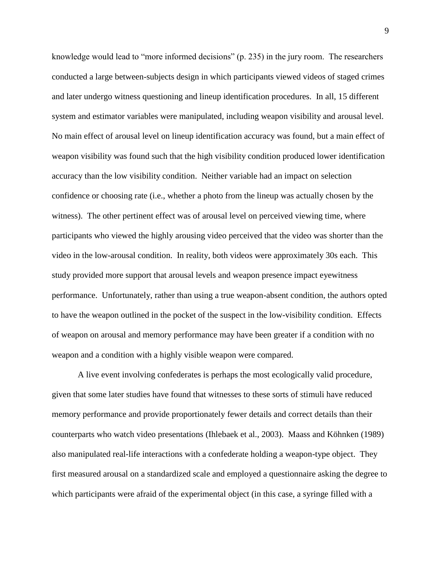knowledge would lead to "more informed decisions" (p. 235) in the jury room. The researchers conducted a large between-subjects design in which participants viewed videos of staged crimes and later undergo witness questioning and lineup identification procedures. In all, 15 different system and estimator variables were manipulated, including weapon visibility and arousal level. No main effect of arousal level on lineup identification accuracy was found, but a main effect of weapon visibility was found such that the high visibility condition produced lower identification accuracy than the low visibility condition. Neither variable had an impact on selection confidence or choosing rate (i.e., whether a photo from the lineup was actually chosen by the witness). The other pertinent effect was of arousal level on perceived viewing time, where participants who viewed the highly arousing video perceived that the video was shorter than the video in the low-arousal condition. In reality, both videos were approximately 30s each. This study provided more support that arousal levels and weapon presence impact eyewitness performance. Unfortunately, rather than using a true weapon-absent condition, the authors opted to have the weapon outlined in the pocket of the suspect in the low-visibility condition. Effects of weapon on arousal and memory performance may have been greater if a condition with no weapon and a condition with a highly visible weapon were compared.

A live event involving confederates is perhaps the most ecologically valid procedure, given that some later studies have found that witnesses to these sorts of stimuli have reduced memory performance and provide proportionately fewer details and correct details than their counterparts who watch video presentations (Ihlebaek et al., 2003). Maass and Köhnken (1989) also manipulated real-life interactions with a confederate holding a weapon-type object. They first measured arousal on a standardized scale and employed a questionnaire asking the degree to which participants were afraid of the experimental object (in this case, a syringe filled with a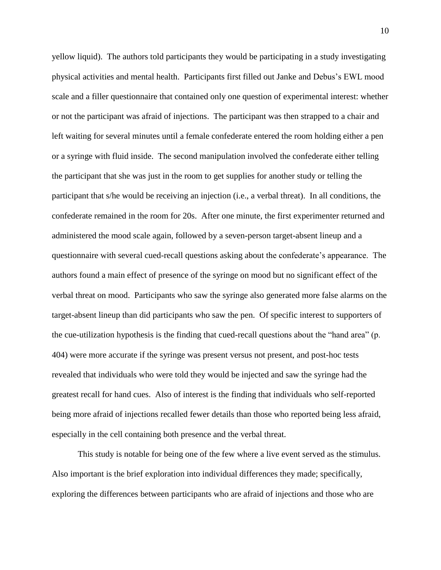yellow liquid). The authors told participants they would be participating in a study investigating physical activities and mental health. Participants first filled out Janke and Debus's EWL mood scale and a filler questionnaire that contained only one question of experimental interest: whether or not the participant was afraid of injections. The participant was then strapped to a chair and left waiting for several minutes until a female confederate entered the room holding either a pen or a syringe with fluid inside. The second manipulation involved the confederate either telling the participant that she was just in the room to get supplies for another study or telling the participant that s/he would be receiving an injection (i.e., a verbal threat). In all conditions, the confederate remained in the room for 20s. After one minute, the first experimenter returned and administered the mood scale again, followed by a seven-person target-absent lineup and a questionnaire with several cued-recall questions asking about the confederate's appearance. The authors found a main effect of presence of the syringe on mood but no significant effect of the verbal threat on mood. Participants who saw the syringe also generated more false alarms on the target-absent lineup than did participants who saw the pen. Of specific interest to supporters of the cue-utilization hypothesis is the finding that cued-recall questions about the "hand area" (p. 404) were more accurate if the syringe was present versus not present, and post-hoc tests revealed that individuals who were told they would be injected and saw the syringe had the greatest recall for hand cues. Also of interest is the finding that individuals who self-reported being more afraid of injections recalled fewer details than those who reported being less afraid, especially in the cell containing both presence and the verbal threat.

This study is notable for being one of the few where a live event served as the stimulus. Also important is the brief exploration into individual differences they made; specifically, exploring the differences between participants who are afraid of injections and those who are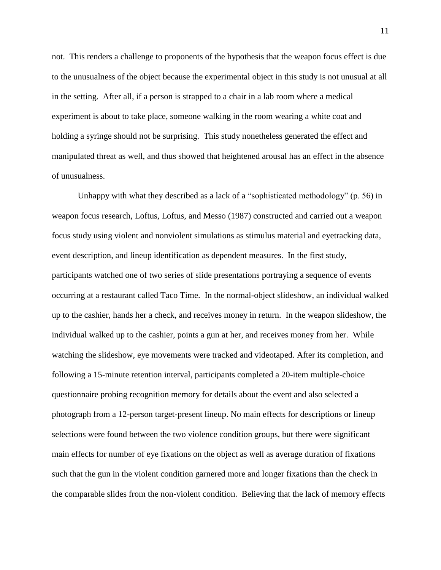not. This renders a challenge to proponents of the hypothesis that the weapon focus effect is due to the unusualness of the object because the experimental object in this study is not unusual at all in the setting. After all, if a person is strapped to a chair in a lab room where a medical experiment is about to take place, someone walking in the room wearing a white coat and holding a syringe should not be surprising. This study nonetheless generated the effect and manipulated threat as well, and thus showed that heightened arousal has an effect in the absence of unusualness.

Unhappy with what they described as a lack of a "sophisticated methodology" (p. 56) in weapon focus research, Loftus, Loftus, and Messo (1987) constructed and carried out a weapon focus study using violent and nonviolent simulations as stimulus material and eyetracking data, event description, and lineup identification as dependent measures. In the first study, participants watched one of two series of slide presentations portraying a sequence of events occurring at a restaurant called Taco Time. In the normal-object slideshow, an individual walked up to the cashier, hands her a check, and receives money in return. In the weapon slideshow, the individual walked up to the cashier, points a gun at her, and receives money from her. While watching the slideshow, eye movements were tracked and videotaped. After its completion, and following a 15-minute retention interval, participants completed a 20-item multiple-choice questionnaire probing recognition memory for details about the event and also selected a photograph from a 12-person target-present lineup. No main effects for descriptions or lineup selections were found between the two violence condition groups, but there were significant main effects for number of eye fixations on the object as well as average duration of fixations such that the gun in the violent condition garnered more and longer fixations than the check in the comparable slides from the non-violent condition. Believing that the lack of memory effects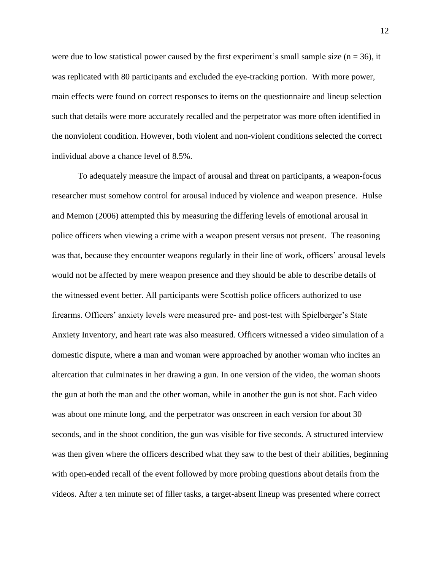were due to low statistical power caused by the first experiment's small sample size ( $n = 36$ ), it was replicated with 80 participants and excluded the eye-tracking portion. With more power, main effects were found on correct responses to items on the questionnaire and lineup selection such that details were more accurately recalled and the perpetrator was more often identified in the nonviolent condition. However, both violent and non-violent conditions selected the correct individual above a chance level of 8.5%.

To adequately measure the impact of arousal and threat on participants, a weapon-focus researcher must somehow control for arousal induced by violence and weapon presence. Hulse and Memon (2006) attempted this by measuring the differing levels of emotional arousal in police officers when viewing a crime with a weapon present versus not present. The reasoning was that, because they encounter weapons regularly in their line of work, officers' arousal levels would not be affected by mere weapon presence and they should be able to describe details of the witnessed event better. All participants were Scottish police officers authorized to use firearms. Officers' anxiety levels were measured pre- and post-test with Spielberger's State Anxiety Inventory, and heart rate was also measured. Officers witnessed a video simulation of a domestic dispute, where a man and woman were approached by another woman who incites an altercation that culminates in her drawing a gun. In one version of the video, the woman shoots the gun at both the man and the other woman, while in another the gun is not shot. Each video was about one minute long, and the perpetrator was onscreen in each version for about 30 seconds, and in the shoot condition, the gun was visible for five seconds. A structured interview was then given where the officers described what they saw to the best of their abilities, beginning with open-ended recall of the event followed by more probing questions about details from the videos. After a ten minute set of filler tasks, a target-absent lineup was presented where correct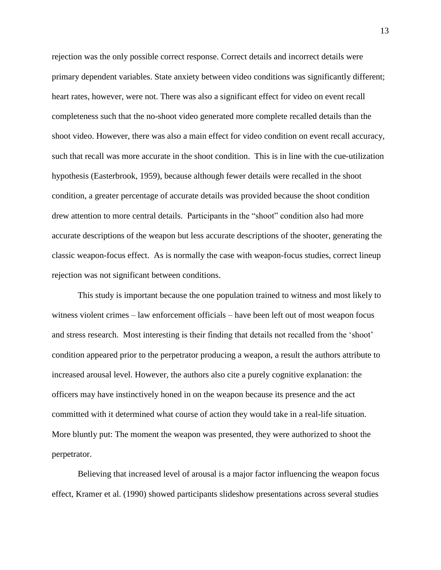rejection was the only possible correct response. Correct details and incorrect details were primary dependent variables. State anxiety between video conditions was significantly different; heart rates, however, were not. There was also a significant effect for video on event recall completeness such that the no-shoot video generated more complete recalled details than the shoot video. However, there was also a main effect for video condition on event recall accuracy, such that recall was more accurate in the shoot condition. This is in line with the cue-utilization hypothesis (Easterbrook, 1959), because although fewer details were recalled in the shoot condition, a greater percentage of accurate details was provided because the shoot condition drew attention to more central details. Participants in the "shoot" condition also had more accurate descriptions of the weapon but less accurate descriptions of the shooter, generating the classic weapon-focus effect. As is normally the case with weapon-focus studies, correct lineup rejection was not significant between conditions.

This study is important because the one population trained to witness and most likely to witness violent crimes – law enforcement officials – have been left out of most weapon focus and stress research. Most interesting is their finding that details not recalled from the 'shoot' condition appeared prior to the perpetrator producing a weapon, a result the authors attribute to increased arousal level. However, the authors also cite a purely cognitive explanation: the officers may have instinctively honed in on the weapon because its presence and the act committed with it determined what course of action they would take in a real-life situation. More bluntly put: The moment the weapon was presented, they were authorized to shoot the perpetrator.

Believing that increased level of arousal is a major factor influencing the weapon focus effect, Kramer et al. (1990) showed participants slideshow presentations across several studies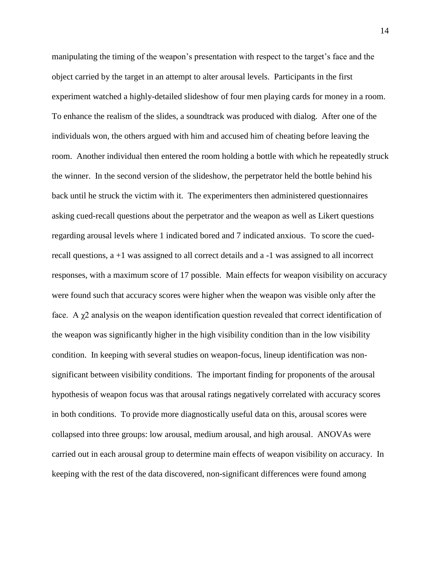manipulating the timing of the weapon's presentation with respect to the target's face and the object carried by the target in an attempt to alter arousal levels. Participants in the first experiment watched a highly-detailed slideshow of four men playing cards for money in a room. To enhance the realism of the slides, a soundtrack was produced with dialog. After one of the individuals won, the others argued with him and accused him of cheating before leaving the room. Another individual then entered the room holding a bottle with which he repeatedly struck the winner. In the second version of the slideshow, the perpetrator held the bottle behind his back until he struck the victim with it. The experimenters then administered questionnaires asking cued-recall questions about the perpetrator and the weapon as well as Likert questions regarding arousal levels where 1 indicated bored and 7 indicated anxious. To score the cuedrecall questions, a +1 was assigned to all correct details and a -1 was assigned to all incorrect responses, with a maximum score of 17 possible. Main effects for weapon visibility on accuracy were found such that accuracy scores were higher when the weapon was visible only after the face. A  $\gamma$ 2 analysis on the weapon identification question revealed that correct identification of the weapon was significantly higher in the high visibility condition than in the low visibility condition. In keeping with several studies on weapon-focus, lineup identification was nonsignificant between visibility conditions. The important finding for proponents of the arousal hypothesis of weapon focus was that arousal ratings negatively correlated with accuracy scores in both conditions. To provide more diagnostically useful data on this, arousal scores were collapsed into three groups: low arousal, medium arousal, and high arousal. ANOVAs were carried out in each arousal group to determine main effects of weapon visibility on accuracy. In keeping with the rest of the data discovered, non-significant differences were found among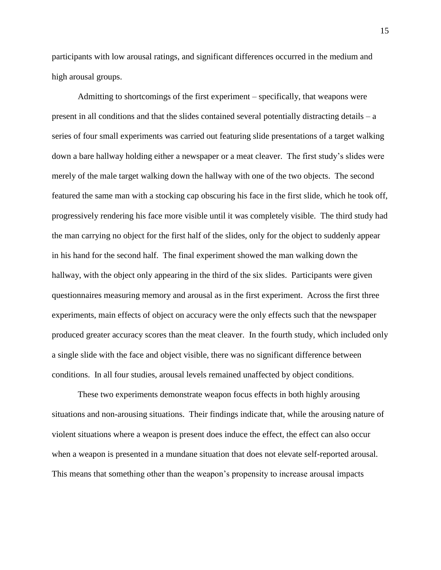participants with low arousal ratings, and significant differences occurred in the medium and high arousal groups.

Admitting to shortcomings of the first experiment – specifically, that weapons were present in all conditions and that the slides contained several potentially distracting details – a series of four small experiments was carried out featuring slide presentations of a target walking down a bare hallway holding either a newspaper or a meat cleaver. The first study's slides were merely of the male target walking down the hallway with one of the two objects. The second featured the same man with a stocking cap obscuring his face in the first slide, which he took off, progressively rendering his face more visible until it was completely visible. The third study had the man carrying no object for the first half of the slides, only for the object to suddenly appear in his hand for the second half. The final experiment showed the man walking down the hallway, with the object only appearing in the third of the six slides. Participants were given questionnaires measuring memory and arousal as in the first experiment. Across the first three experiments, main effects of object on accuracy were the only effects such that the newspaper produced greater accuracy scores than the meat cleaver. In the fourth study, which included only a single slide with the face and object visible, there was no significant difference between conditions. In all four studies, arousal levels remained unaffected by object conditions.

These two experiments demonstrate weapon focus effects in both highly arousing situations and non-arousing situations. Their findings indicate that, while the arousing nature of violent situations where a weapon is present does induce the effect, the effect can also occur when a weapon is presented in a mundane situation that does not elevate self-reported arousal. This means that something other than the weapon's propensity to increase arousal impacts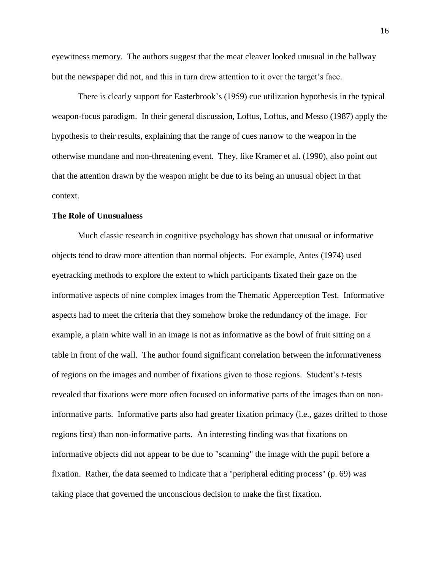eyewitness memory. The authors suggest that the meat cleaver looked unusual in the hallway but the newspaper did not, and this in turn drew attention to it over the target's face.

There is clearly support for Easterbrook's (1959) cue utilization hypothesis in the typical weapon-focus paradigm. In their general discussion, Loftus, Loftus, and Messo (1987) apply the hypothesis to their results, explaining that the range of cues narrow to the weapon in the otherwise mundane and non-threatening event. They, like Kramer et al. (1990), also point out that the attention drawn by the weapon might be due to its being an unusual object in that context.

#### **The Role of Unusualness**

Much classic research in cognitive psychology has shown that unusual or informative objects tend to draw more attention than normal objects. For example, Antes (1974) used eyetracking methods to explore the extent to which participants fixated their gaze on the informative aspects of nine complex images from the Thematic Apperception Test. Informative aspects had to meet the criteria that they somehow broke the redundancy of the image. For example, a plain white wall in an image is not as informative as the bowl of fruit sitting on a table in front of the wall. The author found significant correlation between the informativeness of regions on the images and number of fixations given to those regions. Student's *t*-tests revealed that fixations were more often focused on informative parts of the images than on noninformative parts. Informative parts also had greater fixation primacy (i.e., gazes drifted to those regions first) than non-informative parts. An interesting finding was that fixations on informative objects did not appear to be due to "scanning" the image with the pupil before a fixation. Rather, the data seemed to indicate that a "peripheral editing process" (p. 69) was taking place that governed the unconscious decision to make the first fixation.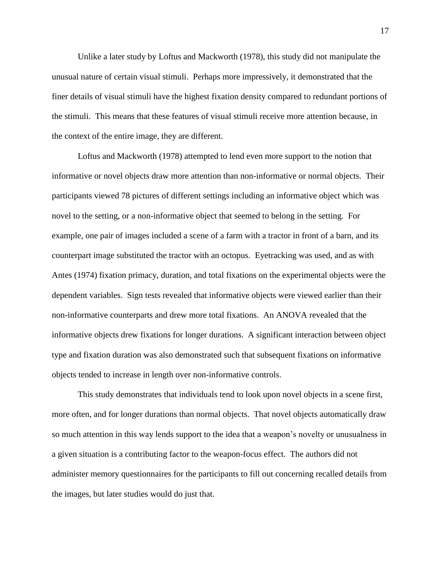Unlike a later study by Loftus and Mackworth (1978), this study did not manipulate the unusual nature of certain visual stimuli. Perhaps more impressively, it demonstrated that the finer details of visual stimuli have the highest fixation density compared to redundant portions of the stimuli. This means that these features of visual stimuli receive more attention because, in the context of the entire image, they are different.

Loftus and Mackworth (1978) attempted to lend even more support to the notion that informative or novel objects draw more attention than non-informative or normal objects. Their participants viewed 78 pictures of different settings including an informative object which was novel to the setting, or a non-informative object that seemed to belong in the setting. For example, one pair of images included a scene of a farm with a tractor in front of a barn, and its counterpart image substituted the tractor with an octopus. Eyetracking was used, and as with Antes (1974) fixation primacy, duration, and total fixations on the experimental objects were the dependent variables. Sign tests revealed that informative objects were viewed earlier than their non-informative counterparts and drew more total fixations. An ANOVA revealed that the informative objects drew fixations for longer durations. A significant interaction between object type and fixation duration was also demonstrated such that subsequent fixations on informative objects tended to increase in length over non-informative controls.

This study demonstrates that individuals tend to look upon novel objects in a scene first, more often, and for longer durations than normal objects. That novel objects automatically draw so much attention in this way lends support to the idea that a weapon's novelty or unusualness in a given situation is a contributing factor to the weapon-focus effect. The authors did not administer memory questionnaires for the participants to fill out concerning recalled details from the images, but later studies would do just that.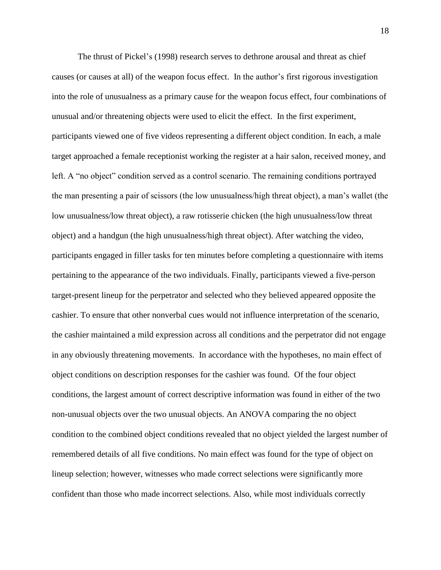The thrust of Pickel's (1998) research serves to dethrone arousal and threat as chief causes (or causes at all) of the weapon focus effect. In the author's first rigorous investigation into the role of unusualness as a primary cause for the weapon focus effect, four combinations of unusual and/or threatening objects were used to elicit the effect. In the first experiment, participants viewed one of five videos representing a different object condition. In each, a male target approached a female receptionist working the register at a hair salon, received money, and left. A "no object" condition served as a control scenario. The remaining conditions portrayed the man presenting a pair of scissors (the low unusualness/high threat object), a man's wallet (the low unusualness/low threat object), a raw rotisserie chicken (the high unusualness/low threat object) and a handgun (the high unusualness/high threat object). After watching the video, participants engaged in filler tasks for ten minutes before completing a questionnaire with items pertaining to the appearance of the two individuals. Finally, participants viewed a five-person target-present lineup for the perpetrator and selected who they believed appeared opposite the cashier. To ensure that other nonverbal cues would not influence interpretation of the scenario, the cashier maintained a mild expression across all conditions and the perpetrator did not engage in any obviously threatening movements. In accordance with the hypotheses, no main effect of object conditions on description responses for the cashier was found. Of the four object conditions, the largest amount of correct descriptive information was found in either of the two non-unusual objects over the two unusual objects. An ANOVA comparing the no object condition to the combined object conditions revealed that no object yielded the largest number of remembered details of all five conditions. No main effect was found for the type of object on lineup selection; however, witnesses who made correct selections were significantly more confident than those who made incorrect selections. Also, while most individuals correctly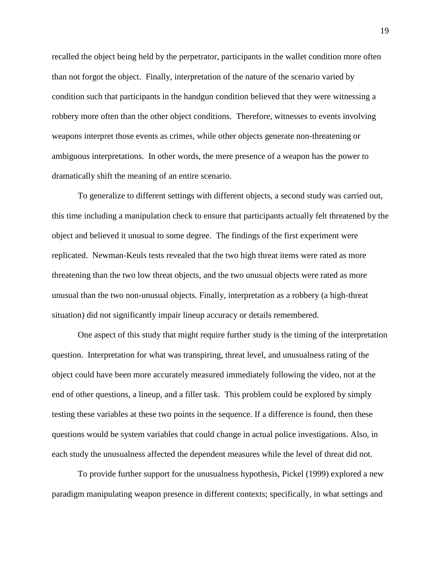recalled the object being held by the perpetrator, participants in the wallet condition more often than not forgot the object. Finally, interpretation of the nature of the scenario varied by condition such that participants in the handgun condition believed that they were witnessing a robbery more often than the other object conditions. Therefore, witnesses to events involving weapons interpret those events as crimes, while other objects generate non-threatening or ambiguous interpretations. In other words, the mere presence of a weapon has the power to dramatically shift the meaning of an entire scenario.

To generalize to different settings with different objects, a second study was carried out, this time including a manipulation check to ensure that participants actually felt threatened by the object and believed it unusual to some degree. The findings of the first experiment were replicated. Newman-Keuls tests revealed that the two high threat items were rated as more threatening than the two low threat objects, and the two unusual objects were rated as more unusual than the two non-unusual objects. Finally, interpretation as a robbery (a high-threat situation) did not significantly impair lineup accuracy or details remembered.

One aspect of this study that might require further study is the timing of the interpretation question. Interpretation for what was transpiring, threat level, and unusualness rating of the object could have been more accurately measured immediately following the video, not at the end of other questions, a lineup, and a filler task. This problem could be explored by simply testing these variables at these two points in the sequence. If a difference is found, then these questions would be system variables that could change in actual police investigations. Also, in each study the unusualness affected the dependent measures while the level of threat did not.

To provide further support for the unusualness hypothesis, Pickel (1999) explored a new paradigm manipulating weapon presence in different contexts; specifically, in what settings and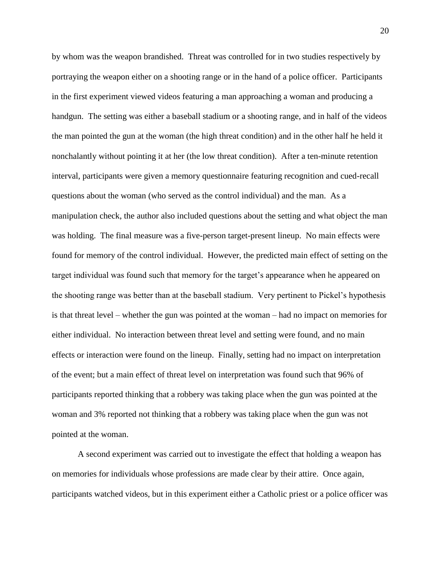by whom was the weapon brandished. Threat was controlled for in two studies respectively by portraying the weapon either on a shooting range or in the hand of a police officer. Participants in the first experiment viewed videos featuring a man approaching a woman and producing a handgun. The setting was either a baseball stadium or a shooting range, and in half of the videos the man pointed the gun at the woman (the high threat condition) and in the other half he held it nonchalantly without pointing it at her (the low threat condition). After a ten-minute retention interval, participants were given a memory questionnaire featuring recognition and cued-recall questions about the woman (who served as the control individual) and the man. As a manipulation check, the author also included questions about the setting and what object the man was holding. The final measure was a five-person target-present lineup. No main effects were found for memory of the control individual. However, the predicted main effect of setting on the target individual was found such that memory for the target's appearance when he appeared on the shooting range was better than at the baseball stadium. Very pertinent to Pickel's hypothesis is that threat level – whether the gun was pointed at the woman – had no impact on memories for either individual. No interaction between threat level and setting were found, and no main effects or interaction were found on the lineup. Finally, setting had no impact on interpretation of the event; but a main effect of threat level on interpretation was found such that 96% of participants reported thinking that a robbery was taking place when the gun was pointed at the woman and 3% reported not thinking that a robbery was taking place when the gun was not pointed at the woman.

A second experiment was carried out to investigate the effect that holding a weapon has on memories for individuals whose professions are made clear by their attire. Once again, participants watched videos, but in this experiment either a Catholic priest or a police officer was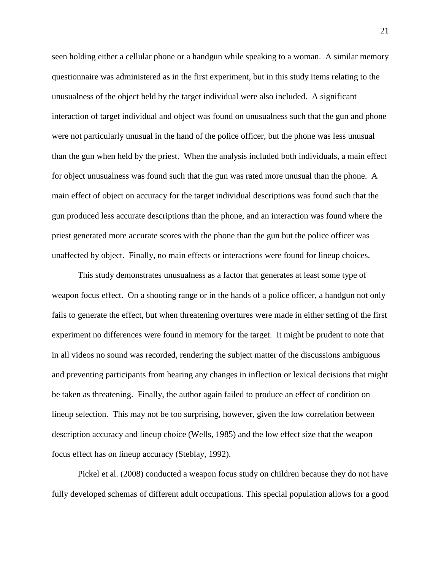seen holding either a cellular phone or a handgun while speaking to a woman. A similar memory questionnaire was administered as in the first experiment, but in this study items relating to the unusualness of the object held by the target individual were also included. A significant interaction of target individual and object was found on unusualness such that the gun and phone were not particularly unusual in the hand of the police officer, but the phone was less unusual than the gun when held by the priest. When the analysis included both individuals, a main effect for object unusualness was found such that the gun was rated more unusual than the phone. A main effect of object on accuracy for the target individual descriptions was found such that the gun produced less accurate descriptions than the phone, and an interaction was found where the priest generated more accurate scores with the phone than the gun but the police officer was unaffected by object. Finally, no main effects or interactions were found for lineup choices.

This study demonstrates unusualness as a factor that generates at least some type of weapon focus effect. On a shooting range or in the hands of a police officer, a handgun not only fails to generate the effect, but when threatening overtures were made in either setting of the first experiment no differences were found in memory for the target. It might be prudent to note that in all videos no sound was recorded, rendering the subject matter of the discussions ambiguous and preventing participants from hearing any changes in inflection or lexical decisions that might be taken as threatening. Finally, the author again failed to produce an effect of condition on lineup selection. This may not be too surprising, however, given the low correlation between description accuracy and lineup choice (Wells, 1985) and the low effect size that the weapon focus effect has on lineup accuracy (Steblay, 1992).

Pickel et al. (2008) conducted a weapon focus study on children because they do not have fully developed schemas of different adult occupations. This special population allows for a good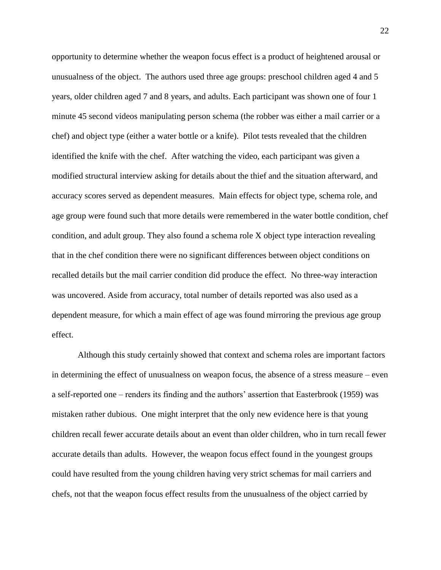opportunity to determine whether the weapon focus effect is a product of heightened arousal or unusualness of the object. The authors used three age groups: preschool children aged 4 and 5 years, older children aged 7 and 8 years, and adults. Each participant was shown one of four 1 minute 45 second videos manipulating person schema (the robber was either a mail carrier or a chef) and object type (either a water bottle or a knife). Pilot tests revealed that the children identified the knife with the chef. After watching the video, each participant was given a modified structural interview asking for details about the thief and the situation afterward, and accuracy scores served as dependent measures. Main effects for object type, schema role, and age group were found such that more details were remembered in the water bottle condition, chef condition, and adult group. They also found a schema role X object type interaction revealing that in the chef condition there were no significant differences between object conditions on recalled details but the mail carrier condition did produce the effect. No three-way interaction was uncovered. Aside from accuracy, total number of details reported was also used as a dependent measure, for which a main effect of age was found mirroring the previous age group effect.

Although this study certainly showed that context and schema roles are important factors in determining the effect of unusualness on weapon focus, the absence of a stress measure – even a self-reported one – renders its finding and the authors' assertion that Easterbrook (1959) was mistaken rather dubious. One might interpret that the only new evidence here is that young children recall fewer accurate details about an event than older children, who in turn recall fewer accurate details than adults. However, the weapon focus effect found in the youngest groups could have resulted from the young children having very strict schemas for mail carriers and chefs, not that the weapon focus effect results from the unusualness of the object carried by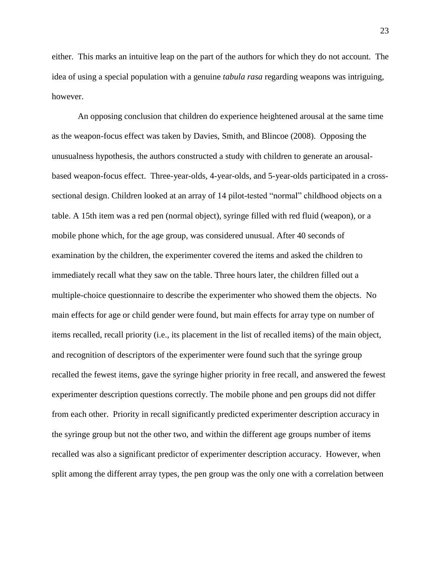either. This marks an intuitive leap on the part of the authors for which they do not account. The idea of using a special population with a genuine *tabula rasa* regarding weapons was intriguing, however.

An opposing conclusion that children do experience heightened arousal at the same time as the weapon-focus effect was taken by Davies, Smith, and Blincoe (2008). Opposing the unusualness hypothesis, the authors constructed a study with children to generate an arousalbased weapon-focus effect. Three-year-olds, 4-year-olds, and 5-year-olds participated in a crosssectional design. Children looked at an array of 14 pilot-tested "normal" childhood objects on a table. A 15th item was a red pen (normal object), syringe filled with red fluid (weapon), or a mobile phone which, for the age group, was considered unusual. After 40 seconds of examination by the children, the experimenter covered the items and asked the children to immediately recall what they saw on the table. Three hours later, the children filled out a multiple-choice questionnaire to describe the experimenter who showed them the objects. No main effects for age or child gender were found, but main effects for array type on number of items recalled, recall priority (i.e., its placement in the list of recalled items) of the main object, and recognition of descriptors of the experimenter were found such that the syringe group recalled the fewest items, gave the syringe higher priority in free recall, and answered the fewest experimenter description questions correctly. The mobile phone and pen groups did not differ from each other. Priority in recall significantly predicted experimenter description accuracy in the syringe group but not the other two, and within the different age groups number of items recalled was also a significant predictor of experimenter description accuracy. However, when split among the different array types, the pen group was the only one with a correlation between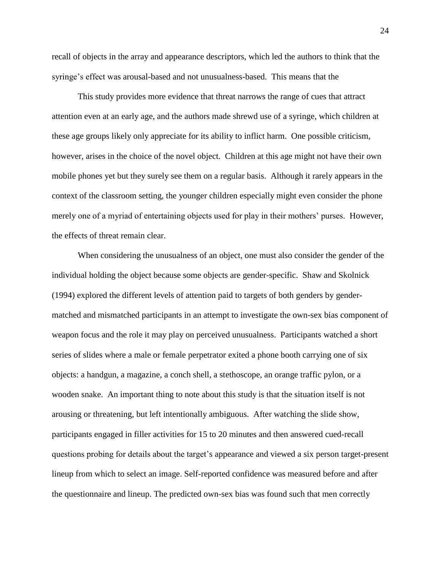recall of objects in the array and appearance descriptors, which led the authors to think that the syringe's effect was arousal-based and not unusualness-based. This means that the

This study provides more evidence that threat narrows the range of cues that attract attention even at an early age, and the authors made shrewd use of a syringe, which children at these age groups likely only appreciate for its ability to inflict harm. One possible criticism, however, arises in the choice of the novel object. Children at this age might not have their own mobile phones yet but they surely see them on a regular basis. Although it rarely appears in the context of the classroom setting, the younger children especially might even consider the phone merely one of a myriad of entertaining objects used for play in their mothers' purses. However, the effects of threat remain clear.

When considering the unusualness of an object, one must also consider the gender of the individual holding the object because some objects are gender-specific. Shaw and Skolnick (1994) explored the different levels of attention paid to targets of both genders by gendermatched and mismatched participants in an attempt to investigate the own-sex bias component of weapon focus and the role it may play on perceived unusualness. Participants watched a short series of slides where a male or female perpetrator exited a phone booth carrying one of six objects: a handgun, a magazine, a conch shell, a stethoscope, an orange traffic pylon, or a wooden snake. An important thing to note about this study is that the situation itself is not arousing or threatening, but left intentionally ambiguous. After watching the slide show, participants engaged in filler activities for 15 to 20 minutes and then answered cued-recall questions probing for details about the target's appearance and viewed a six person target-present lineup from which to select an image. Self-reported confidence was measured before and after the questionnaire and lineup. The predicted own-sex bias was found such that men correctly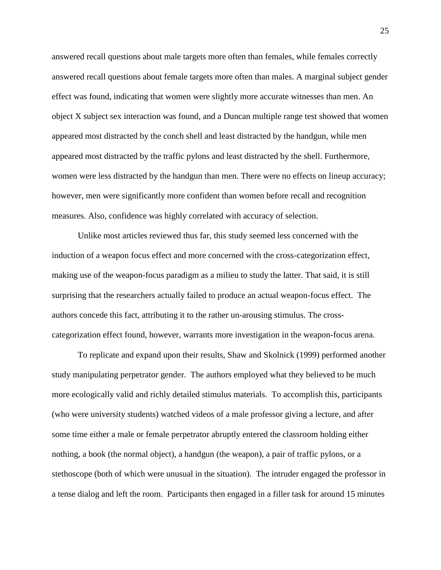answered recall questions about male targets more often than females, while females correctly answered recall questions about female targets more often than males. A marginal subject gender effect was found, indicating that women were slightly more accurate witnesses than men. An object X subject sex interaction was found, and a Duncan multiple range test showed that women appeared most distracted by the conch shell and least distracted by the handgun, while men appeared most distracted by the traffic pylons and least distracted by the shell. Furthermore, women were less distracted by the handgun than men. There were no effects on lineup accuracy; however, men were significantly more confident than women before recall and recognition measures. Also, confidence was highly correlated with accuracy of selection.

Unlike most articles reviewed thus far, this study seemed less concerned with the induction of a weapon focus effect and more concerned with the cross-categorization effect, making use of the weapon-focus paradigm as a milieu to study the latter. That said, it is still surprising that the researchers actually failed to produce an actual weapon-focus effect. The authors concede this fact, attributing it to the rather un-arousing stimulus. The crosscategorization effect found, however, warrants more investigation in the weapon-focus arena.

To replicate and expand upon their results, Shaw and Skolnick (1999) performed another study manipulating perpetrator gender. The authors employed what they believed to be much more ecologically valid and richly detailed stimulus materials. To accomplish this, participants (who were university students) watched videos of a male professor giving a lecture, and after some time either a male or female perpetrator abruptly entered the classroom holding either nothing, a book (the normal object), a handgun (the weapon), a pair of traffic pylons, or a stethoscope (both of which were unusual in the situation). The intruder engaged the professor in a tense dialog and left the room. Participants then engaged in a filler task for around 15 minutes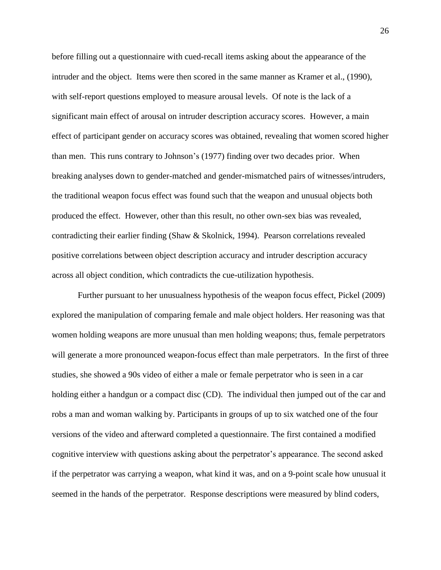before filling out a questionnaire with cued-recall items asking about the appearance of the intruder and the object. Items were then scored in the same manner as Kramer et al., (1990), with self-report questions employed to measure arousal levels. Of note is the lack of a significant main effect of arousal on intruder description accuracy scores. However, a main effect of participant gender on accuracy scores was obtained, revealing that women scored higher than men. This runs contrary to Johnson's (1977) finding over two decades prior. When breaking analyses down to gender-matched and gender-mismatched pairs of witnesses/intruders, the traditional weapon focus effect was found such that the weapon and unusual objects both produced the effect. However, other than this result, no other own-sex bias was revealed, contradicting their earlier finding (Shaw & Skolnick, 1994). Pearson correlations revealed positive correlations between object description accuracy and intruder description accuracy across all object condition, which contradicts the cue-utilization hypothesis.

Further pursuant to her unusualness hypothesis of the weapon focus effect, Pickel (2009) explored the manipulation of comparing female and male object holders. Her reasoning was that women holding weapons are more unusual than men holding weapons; thus, female perpetrators will generate a more pronounced weapon-focus effect than male perpetrators. In the first of three studies, she showed a 90s video of either a male or female perpetrator who is seen in a car holding either a handgun or a compact disc (CD). The individual then jumped out of the car and robs a man and woman walking by. Participants in groups of up to six watched one of the four versions of the video and afterward completed a questionnaire. The first contained a modified cognitive interview with questions asking about the perpetrator's appearance. The second asked if the perpetrator was carrying a weapon, what kind it was, and on a 9-point scale how unusual it seemed in the hands of the perpetrator. Response descriptions were measured by blind coders,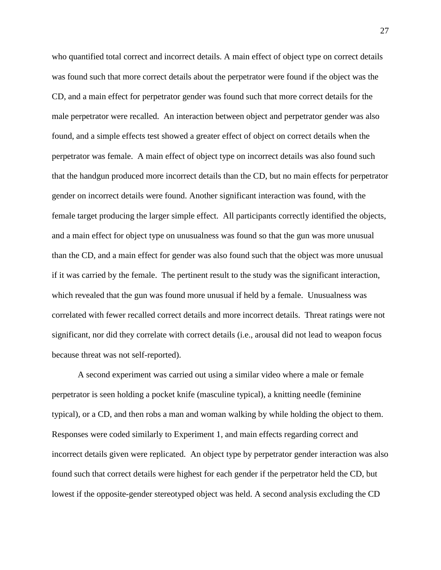who quantified total correct and incorrect details. A main effect of object type on correct details was found such that more correct details about the perpetrator were found if the object was the CD, and a main effect for perpetrator gender was found such that more correct details for the male perpetrator were recalled. An interaction between object and perpetrator gender was also found, and a simple effects test showed a greater effect of object on correct details when the perpetrator was female. A main effect of object type on incorrect details was also found such that the handgun produced more incorrect details than the CD, but no main effects for perpetrator gender on incorrect details were found. Another significant interaction was found, with the female target producing the larger simple effect. All participants correctly identified the objects, and a main effect for object type on unusualness was found so that the gun was more unusual than the CD, and a main effect for gender was also found such that the object was more unusual if it was carried by the female. The pertinent result to the study was the significant interaction, which revealed that the gun was found more unusual if held by a female. Unusualness was correlated with fewer recalled correct details and more incorrect details. Threat ratings were not significant, nor did they correlate with correct details (i.e., arousal did not lead to weapon focus because threat was not self-reported).

A second experiment was carried out using a similar video where a male or female perpetrator is seen holding a pocket knife (masculine typical), a knitting needle (feminine typical), or a CD, and then robs a man and woman walking by while holding the object to them. Responses were coded similarly to Experiment 1, and main effects regarding correct and incorrect details given were replicated. An object type by perpetrator gender interaction was also found such that correct details were highest for each gender if the perpetrator held the CD, but lowest if the opposite-gender stereotyped object was held. A second analysis excluding the CD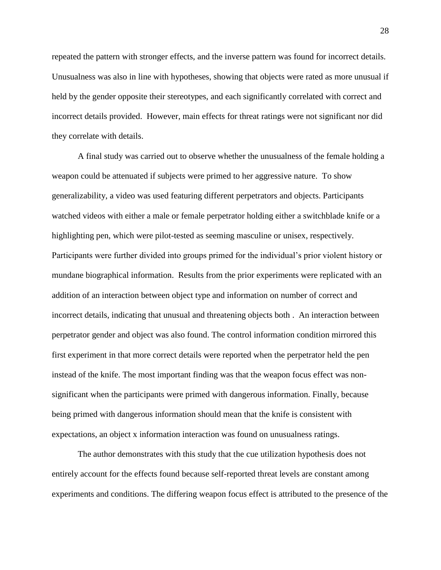repeated the pattern with stronger effects, and the inverse pattern was found for incorrect details. Unusualness was also in line with hypotheses, showing that objects were rated as more unusual if held by the gender opposite their stereotypes, and each significantly correlated with correct and incorrect details provided. However, main effects for threat ratings were not significant nor did they correlate with details.

A final study was carried out to observe whether the unusualness of the female holding a weapon could be attenuated if subjects were primed to her aggressive nature. To show generalizability, a video was used featuring different perpetrators and objects. Participants watched videos with either a male or female perpetrator holding either a switchblade knife or a highlighting pen, which were pilot-tested as seeming masculine or unisex, respectively. Participants were further divided into groups primed for the individual's prior violent history or mundane biographical information. Results from the prior experiments were replicated with an addition of an interaction between object type and information on number of correct and incorrect details, indicating that unusual and threatening objects both . An interaction between perpetrator gender and object was also found. The control information condition mirrored this first experiment in that more correct details were reported when the perpetrator held the pen instead of the knife. The most important finding was that the weapon focus effect was nonsignificant when the participants were primed with dangerous information. Finally, because being primed with dangerous information should mean that the knife is consistent with expectations, an object x information interaction was found on unusualness ratings.

The author demonstrates with this study that the cue utilization hypothesis does not entirely account for the effects found because self-reported threat levels are constant among experiments and conditions. The differing weapon focus effect is attributed to the presence of the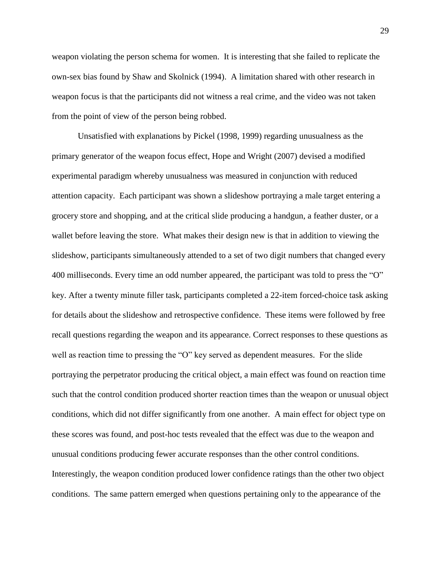weapon violating the person schema for women. It is interesting that she failed to replicate the own-sex bias found by Shaw and Skolnick (1994). A limitation shared with other research in weapon focus is that the participants did not witness a real crime, and the video was not taken from the point of view of the person being robbed.

Unsatisfied with explanations by Pickel (1998, 1999) regarding unusualness as the primary generator of the weapon focus effect, Hope and Wright (2007) devised a modified experimental paradigm whereby unusualness was measured in conjunction with reduced attention capacity. Each participant was shown a slideshow portraying a male target entering a grocery store and shopping, and at the critical slide producing a handgun, a feather duster, or a wallet before leaving the store. What makes their design new is that in addition to viewing the slideshow, participants simultaneously attended to a set of two digit numbers that changed every 400 milliseconds. Every time an odd number appeared, the participant was told to press the "O" key. After a twenty minute filler task, participants completed a 22-item forced-choice task asking for details about the slideshow and retrospective confidence. These items were followed by free recall questions regarding the weapon and its appearance. Correct responses to these questions as well as reaction time to pressing the "O" key served as dependent measures. For the slide portraying the perpetrator producing the critical object, a main effect was found on reaction time such that the control condition produced shorter reaction times than the weapon or unusual object conditions, which did not differ significantly from one another. A main effect for object type on these scores was found, and post-hoc tests revealed that the effect was due to the weapon and unusual conditions producing fewer accurate responses than the other control conditions. Interestingly, the weapon condition produced lower confidence ratings than the other two object conditions. The same pattern emerged when questions pertaining only to the appearance of the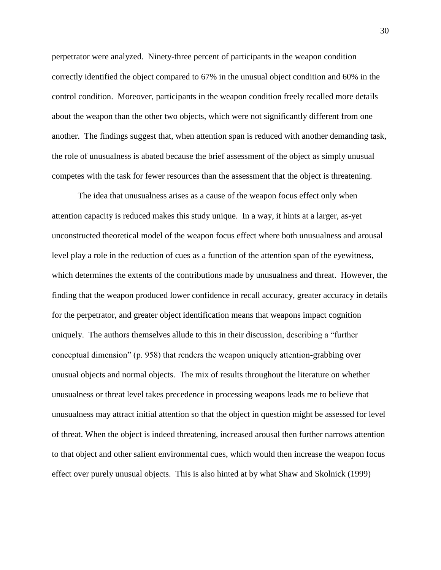perpetrator were analyzed. Ninety-three percent of participants in the weapon condition correctly identified the object compared to 67% in the unusual object condition and 60% in the control condition. Moreover, participants in the weapon condition freely recalled more details about the weapon than the other two objects, which were not significantly different from one another. The findings suggest that, when attention span is reduced with another demanding task, the role of unusualness is abated because the brief assessment of the object as simply unusual competes with the task for fewer resources than the assessment that the object is threatening.

The idea that unusualness arises as a cause of the weapon focus effect only when attention capacity is reduced makes this study unique. In a way, it hints at a larger, as-yet unconstructed theoretical model of the weapon focus effect where both unusualness and arousal level play a role in the reduction of cues as a function of the attention span of the eyewitness, which determines the extents of the contributions made by unusualness and threat. However, the finding that the weapon produced lower confidence in recall accuracy, greater accuracy in details for the perpetrator, and greater object identification means that weapons impact cognition uniquely. The authors themselves allude to this in their discussion, describing a "further conceptual dimension" (p. 958) that renders the weapon uniquely attention-grabbing over unusual objects and normal objects. The mix of results throughout the literature on whether unusualness or threat level takes precedence in processing weapons leads me to believe that unusualness may attract initial attention so that the object in question might be assessed for level of threat. When the object is indeed threatening, increased arousal then further narrows attention to that object and other salient environmental cues, which would then increase the weapon focus effect over purely unusual objects. This is also hinted at by what Shaw and Skolnick (1999)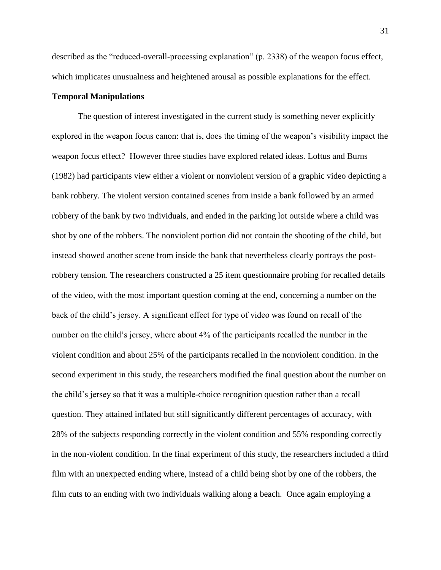described as the "reduced-overall-processing explanation" (p. 2338) of the weapon focus effect, which implicates unusualness and heightened arousal as possible explanations for the effect.

## **Temporal Manipulations**

The question of interest investigated in the current study is something never explicitly explored in the weapon focus canon: that is, does the timing of the weapon's visibility impact the weapon focus effect? However three studies have explored related ideas. Loftus and Burns (1982) had participants view either a violent or nonviolent version of a graphic video depicting a bank robbery. The violent version contained scenes from inside a bank followed by an armed robbery of the bank by two individuals, and ended in the parking lot outside where a child was shot by one of the robbers. The nonviolent portion did not contain the shooting of the child, but instead showed another scene from inside the bank that nevertheless clearly portrays the postrobbery tension. The researchers constructed a 25 item questionnaire probing for recalled details of the video, with the most important question coming at the end, concerning a number on the back of the child's jersey. A significant effect for type of video was found on recall of the number on the child's jersey, where about 4% of the participants recalled the number in the violent condition and about 25% of the participants recalled in the nonviolent condition. In the second experiment in this study, the researchers modified the final question about the number on the child's jersey so that it was a multiple-choice recognition question rather than a recall question. They attained inflated but still significantly different percentages of accuracy, with 28% of the subjects responding correctly in the violent condition and 55% responding correctly in the non-violent condition. In the final experiment of this study, the researchers included a third film with an unexpected ending where, instead of a child being shot by one of the robbers, the film cuts to an ending with two individuals walking along a beach. Once again employing a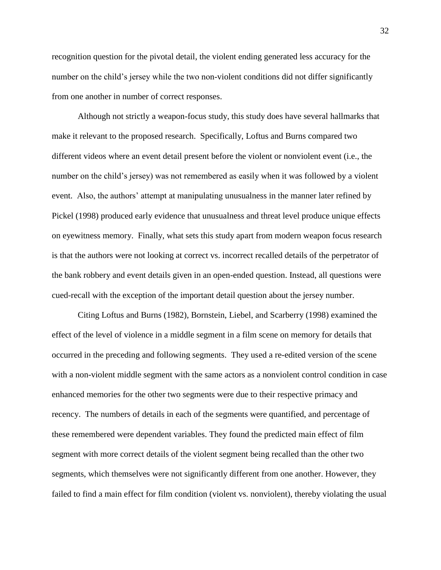recognition question for the pivotal detail, the violent ending generated less accuracy for the number on the child's jersey while the two non-violent conditions did not differ significantly from one another in number of correct responses.

Although not strictly a weapon-focus study, this study does have several hallmarks that make it relevant to the proposed research. Specifically, Loftus and Burns compared two different videos where an event detail present before the violent or nonviolent event (i.e., the number on the child's jersey) was not remembered as easily when it was followed by a violent event. Also, the authors' attempt at manipulating unusualness in the manner later refined by Pickel (1998) produced early evidence that unusualness and threat level produce unique effects on eyewitness memory. Finally, what sets this study apart from modern weapon focus research is that the authors were not looking at correct vs. incorrect recalled details of the perpetrator of the bank robbery and event details given in an open-ended question. Instead, all questions were cued-recall with the exception of the important detail question about the jersey number.

Citing Loftus and Burns (1982), Bornstein, Liebel, and Scarberry (1998) examined the effect of the level of violence in a middle segment in a film scene on memory for details that occurred in the preceding and following segments. They used a re-edited version of the scene with a non-violent middle segment with the same actors as a nonviolent control condition in case enhanced memories for the other two segments were due to their respective primacy and recency. The numbers of details in each of the segments were quantified, and percentage of these remembered were dependent variables. They found the predicted main effect of film segment with more correct details of the violent segment being recalled than the other two segments, which themselves were not significantly different from one another. However, they failed to find a main effect for film condition (violent vs. nonviolent), thereby violating the usual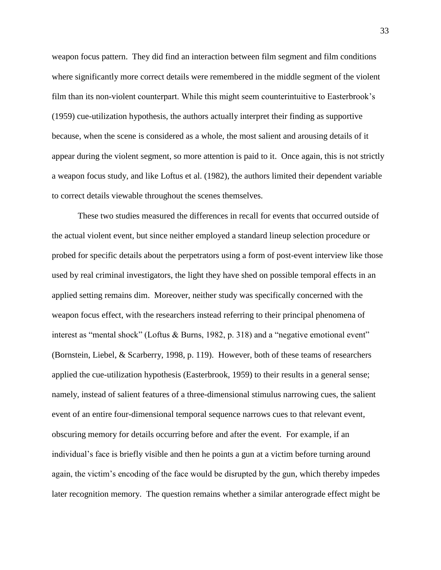weapon focus pattern. They did find an interaction between film segment and film conditions where significantly more correct details were remembered in the middle segment of the violent film than its non-violent counterpart. While this might seem counterintuitive to Easterbrook's (1959) cue-utilization hypothesis, the authors actually interpret their finding as supportive because, when the scene is considered as a whole, the most salient and arousing details of it appear during the violent segment, so more attention is paid to it. Once again, this is not strictly a weapon focus study, and like Loftus et al. (1982), the authors limited their dependent variable to correct details viewable throughout the scenes themselves.

These two studies measured the differences in recall for events that occurred outside of the actual violent event, but since neither employed a standard lineup selection procedure or probed for specific details about the perpetrators using a form of post-event interview like those used by real criminal investigators, the light they have shed on possible temporal effects in an applied setting remains dim. Moreover, neither study was specifically concerned with the weapon focus effect, with the researchers instead referring to their principal phenomena of interest as "mental shock" (Loftus & Burns, 1982, p. 318) and a "negative emotional event" (Bornstein, Liebel, & Scarberry, 1998, p. 119). However, both of these teams of researchers applied the cue-utilization hypothesis (Easterbrook, 1959) to their results in a general sense; namely, instead of salient features of a three-dimensional stimulus narrowing cues, the salient event of an entire four-dimensional temporal sequence narrows cues to that relevant event, obscuring memory for details occurring before and after the event. For example, if an individual's face is briefly visible and then he points a gun at a victim before turning around again, the victim's encoding of the face would be disrupted by the gun, which thereby impedes later recognition memory. The question remains whether a similar anterograde effect might be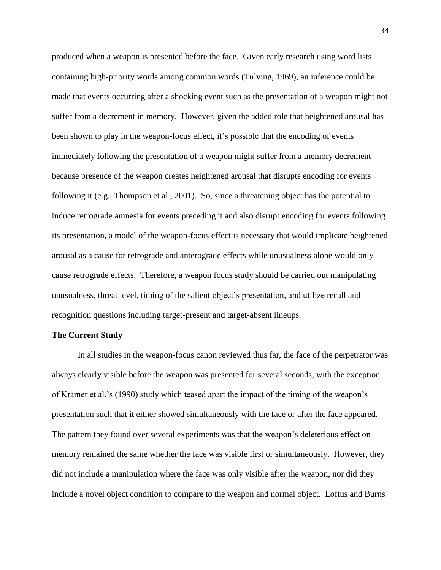produced when a weapon is presented before the face. Given early research using word lists containing high-priority words among common words (Tulving, 1969), an inference could be made that events occurring after a shocking event such as the presentation of a weapon might not suffer from a decrement in memory. However, given the added role that heightened arousal has been shown to play in the weapon-focus effect, it's possible that the encoding of events immediately following the presentation of a weapon might suffer from a memory decrement because presence of the weapon creates heightened arousal that disrupts encoding for events following it (e.g., Thompson et al., 2001). So, since a threatening object has the potential to induce retrograde amnesia for events preceding it and also disrupt encoding for events following its presentation, a model of the weapon-focus effect is necessary that would implicate heightened arousal as a cause for retrograde and anterograde effects while unusualness alone would only cause retrograde effects. Therefore, a weapon focus study should be carried out manipulating unusualness, threat level, timing of the salient object's presentation, and utilize recall and recognition questions including target-present and target-absent lineups.

## **The Current Study**

In all studies in the weapon-focus canon reviewed thus far, the face of the perpetrator was always clearly visible before the weapon was presented for several seconds, with the exception of Kramer et al.'s (1990) study which teased apart the impact of the timing of the weapon's presentation such that it either showed simultaneously with the face or after the face appeared. The pattern they found over several experiments was that the weapon's deleterious effect on memory remained the same whether the face was visible first or simultaneously. However, they did not include a manipulation where the face was only visible after the weapon, nor did they include a novel object condition to compare to the weapon and normal object. Loftus and Burns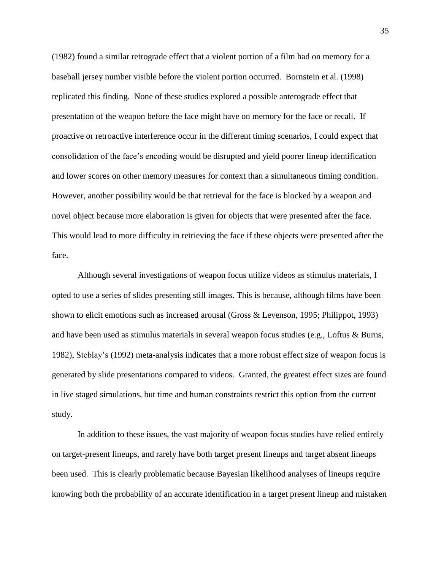(1982) found a similar retrograde effect that a violent portion of a film had on memory for a baseball jersey number visible before the violent portion occurred. Bornstein et al. (1998) replicated this finding. None of these studies explored a possible anterograde effect that presentation of the weapon before the face might have on memory for the face or recall. If proactive or retroactive interference occur in the different timing scenarios, I could expect that consolidation of the face's encoding would be disrupted and yield poorer lineup identification and lower scores on other memory measures for context than a simultaneous timing condition. However, another possibility would be that retrieval for the face is blocked by a weapon and novel object because more elaboration is given for objects that were presented after the face. This would lead to more difficulty in retrieving the face if these objects were presented after the face.

Although several investigations of weapon focus utilize videos as stimulus materials, I opted to use a series of slides presenting still images. This is because, although films have been shown to elicit emotions such as increased arousal (Gross & Levenson, 1995; Philippot, 1993) and have been used as stimulus materials in several weapon focus studies (e.g., Loftus & Burns, 1982), Steblay's (1992) meta-analysis indicates that a more robust effect size of weapon focus is generated by slide presentations compared to videos. Granted, the greatest effect sizes are found in live staged simulations, but time and human constraints restrict this option from the current study.

In addition to these issues, the vast majority of weapon focus studies have relied entirely on target-present lineups, and rarely have both target present lineups and target absent lineups been used. This is clearly problematic because Bayesian likelihood analyses of lineups require knowing both the probability of an accurate identification in a target present lineup and mistaken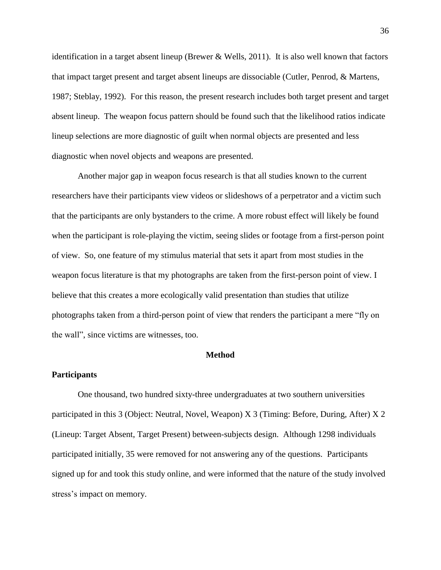identification in a target absent lineup (Brewer & Wells, 2011). It is also well known that factors that impact target present and target absent lineups are dissociable (Cutler, Penrod, & Martens, 1987; Steblay, 1992). For this reason, the present research includes both target present and target absent lineup. The weapon focus pattern should be found such that the likelihood ratios indicate lineup selections are more diagnostic of guilt when normal objects are presented and less diagnostic when novel objects and weapons are presented.

Another major gap in weapon focus research is that all studies known to the current researchers have their participants view videos or slideshows of a perpetrator and a victim such that the participants are only bystanders to the crime. A more robust effect will likely be found when the participant is role-playing the victim, seeing slides or footage from a first-person point of view. So, one feature of my stimulus material that sets it apart from most studies in the weapon focus literature is that my photographs are taken from the first-person point of view. I believe that this creates a more ecologically valid presentation than studies that utilize photographs taken from a third-person point of view that renders the participant a mere "fly on the wall", since victims are witnesses, too.

#### **Method**

#### **Participants**

One thousand, two hundred sixty-three undergraduates at two southern universities participated in this 3 (Object: Neutral, Novel, Weapon) X 3 (Timing: Before, During, After) X 2 (Lineup: Target Absent, Target Present) between-subjects design. Although 1298 individuals participated initially, 35 were removed for not answering any of the questions. Participants signed up for and took this study online, and were informed that the nature of the study involved stress's impact on memory.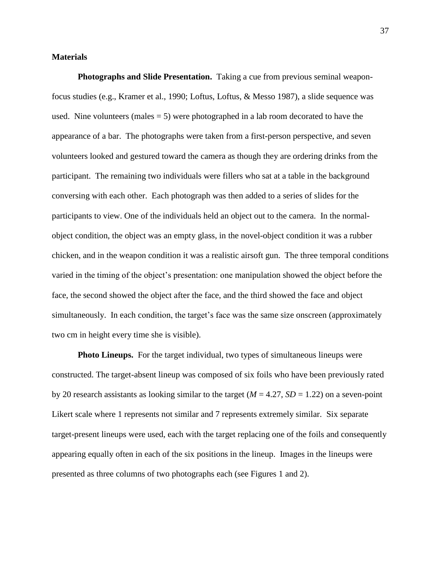## **Materials**

**Photographs and Slide Presentation.** Taking a cue from previous seminal weaponfocus studies (e.g., Kramer et al., 1990; Loftus, Loftus, & Messo 1987), a slide sequence was used. Nine volunteers (males  $= 5$ ) were photographed in a lab room decorated to have the appearance of a bar. The photographs were taken from a first-person perspective, and seven volunteers looked and gestured toward the camera as though they are ordering drinks from the participant. The remaining two individuals were fillers who sat at a table in the background conversing with each other. Each photograph was then added to a series of slides for the participants to view. One of the individuals held an object out to the camera. In the normalobject condition, the object was an empty glass, in the novel-object condition it was a rubber chicken, and in the weapon condition it was a realistic airsoft gun. The three temporal conditions varied in the timing of the object's presentation: one manipulation showed the object before the face, the second showed the object after the face, and the third showed the face and object simultaneously. In each condition, the target's face was the same size onscreen (approximately two cm in height every time she is visible).

**Photo Lineups.** For the target individual, two types of simultaneous lineups were constructed. The target-absent lineup was composed of six foils who have been previously rated by 20 research assistants as looking similar to the target ( $M = 4.27$ ,  $SD = 1.22$ ) on a seven-point Likert scale where 1 represents not similar and 7 represents extremely similar. Six separate target-present lineups were used, each with the target replacing one of the foils and consequently appearing equally often in each of the six positions in the lineup. Images in the lineups were presented as three columns of two photographs each (see Figures 1 and 2).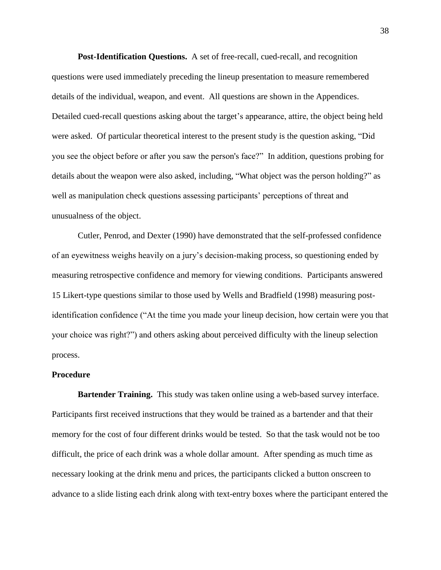**Post-Identification Questions.** A set of free-recall, cued-recall, and recognition questions were used immediately preceding the lineup presentation to measure remembered details of the individual, weapon, and event. All questions are shown in the Appendices. Detailed cued-recall questions asking about the target's appearance, attire, the object being held were asked. Of particular theoretical interest to the present study is the question asking, "Did you see the object before or after you saw the person's face?" In addition, questions probing for details about the weapon were also asked, including, "What object was the person holding?" as well as manipulation check questions assessing participants' perceptions of threat and unusualness of the object.

Cutler, Penrod, and Dexter (1990) have demonstrated that the self-professed confidence of an eyewitness weighs heavily on a jury's decision-making process, so questioning ended by measuring retrospective confidence and memory for viewing conditions. Participants answered 15 Likert-type questions similar to those used by Wells and Bradfield (1998) measuring postidentification confidence ("At the time you made your lineup decision, how certain were you that your choice was right?") and others asking about perceived difficulty with the lineup selection process.

### **Procedure**

**Bartender Training.** This study was taken online using a web-based survey interface. Participants first received instructions that they would be trained as a bartender and that their memory for the cost of four different drinks would be tested. So that the task would not be too difficult, the price of each drink was a whole dollar amount. After spending as much time as necessary looking at the drink menu and prices, the participants clicked a button onscreen to advance to a slide listing each drink along with text-entry boxes where the participant entered the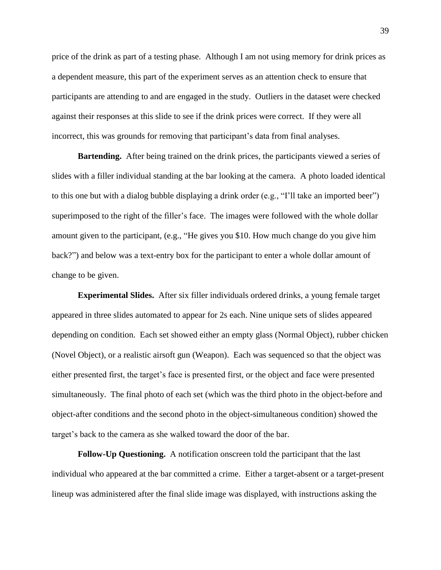price of the drink as part of a testing phase. Although I am not using memory for drink prices as a dependent measure, this part of the experiment serves as an attention check to ensure that participants are attending to and are engaged in the study. Outliers in the dataset were checked against their responses at this slide to see if the drink prices were correct. If they were all incorrect, this was grounds for removing that participant's data from final analyses.

**Bartending.** After being trained on the drink prices, the participants viewed a series of slides with a filler individual standing at the bar looking at the camera. A photo loaded identical to this one but with a dialog bubble displaying a drink order (e.g., "I'll take an imported beer") superimposed to the right of the filler's face. The images were followed with the whole dollar amount given to the participant, (e.g., "He gives you \$10. How much change do you give him back?") and below was a text-entry box for the participant to enter a whole dollar amount of change to be given.

**Experimental Slides.** After six filler individuals ordered drinks, a young female target appeared in three slides automated to appear for 2s each. Nine unique sets of slides appeared depending on condition. Each set showed either an empty glass (Normal Object), rubber chicken (Novel Object), or a realistic airsoft gun (Weapon). Each was sequenced so that the object was either presented first, the target's face is presented first, or the object and face were presented simultaneously. The final photo of each set (which was the third photo in the object-before and object-after conditions and the second photo in the object-simultaneous condition) showed the target's back to the camera as she walked toward the door of the bar.

**Follow-Up Questioning.** A notification onscreen told the participant that the last individual who appeared at the bar committed a crime. Either a target-absent or a target-present lineup was administered after the final slide image was displayed, with instructions asking the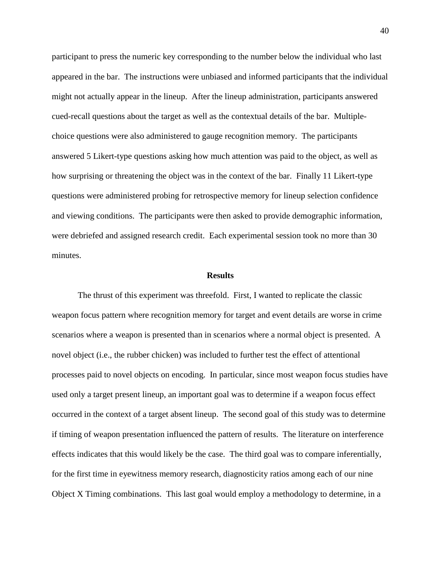participant to press the numeric key corresponding to the number below the individual who last appeared in the bar. The instructions were unbiased and informed participants that the individual might not actually appear in the lineup. After the lineup administration, participants answered cued-recall questions about the target as well as the contextual details of the bar. Multiplechoice questions were also administered to gauge recognition memory. The participants answered 5 Likert-type questions asking how much attention was paid to the object, as well as how surprising or threatening the object was in the context of the bar. Finally 11 Likert-type questions were administered probing for retrospective memory for lineup selection confidence and viewing conditions. The participants were then asked to provide demographic information, were debriefed and assigned research credit. Each experimental session took no more than 30 minutes.

#### **Results**

The thrust of this experiment was threefold. First, I wanted to replicate the classic weapon focus pattern where recognition memory for target and event details are worse in crime scenarios where a weapon is presented than in scenarios where a normal object is presented. A novel object (i.e., the rubber chicken) was included to further test the effect of attentional processes paid to novel objects on encoding. In particular, since most weapon focus studies have used only a target present lineup, an important goal was to determine if a weapon focus effect occurred in the context of a target absent lineup. The second goal of this study was to determine if timing of weapon presentation influenced the pattern of results. The literature on interference effects indicates that this would likely be the case. The third goal was to compare inferentially, for the first time in eyewitness memory research, diagnosticity ratios among each of our nine Object X Timing combinations. This last goal would employ a methodology to determine, in a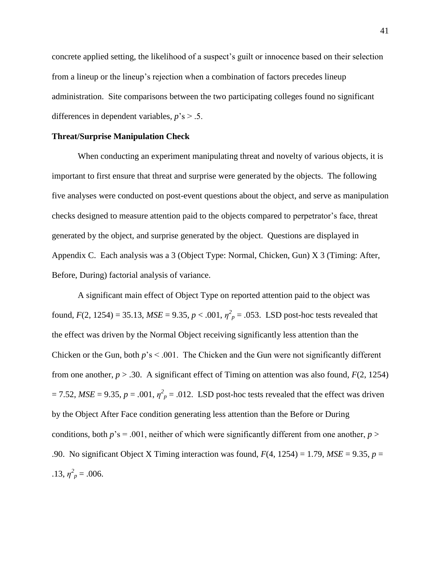concrete applied setting, the likelihood of a suspect's guilt or innocence based on their selection from a lineup or the lineup's rejection when a combination of factors precedes lineup administration. Site comparisons between the two participating colleges found no significant differences in dependent variables,  $p$ 's  $> .5$ .

# **Threat/Surprise Manipulation Check**

When conducting an experiment manipulating threat and novelty of various objects, it is important to first ensure that threat and surprise were generated by the objects. The following five analyses were conducted on post-event questions about the object, and serve as manipulation checks designed to measure attention paid to the objects compared to perpetrator's face, threat generated by the object, and surprise generated by the object. Questions are displayed in Appendix C. Each analysis was a 3 (Object Type: Normal, Chicken, Gun) X 3 (Timing: After, Before, During) factorial analysis of variance.

A significant main effect of Object Type on reported attention paid to the object was found,  $F(2, 1254) = 35.13$ ,  $MSE = 9.35$ ,  $p < .001$ ,  $\eta_p^2 = .053$ . LSD post-hoc tests revealed that the effect was driven by the Normal Object receiving significantly less attention than the Chicken or the Gun, both  $p$ 's < .001. The Chicken and the Gun were not significantly different from one another,  $p > .30$ . A significant effect of Timing on attention was also found,  $F(2, 1254)$  $= 7.52$ , *MSE* = 9.35, *p* = .001,  $\eta_p^2 = 0.012$ . LSD post-hoc tests revealed that the effect was driven by the Object After Face condition generating less attention than the Before or During conditions, both  $p$ 's = .001, neither of which were significantly different from one another,  $p$  > .90. No significant Object X Timing interaction was found, *F*(4, 1254) = 1.79, *MSE* = 9.35, *p* = .13,  $\eta_p^2 = .006$ .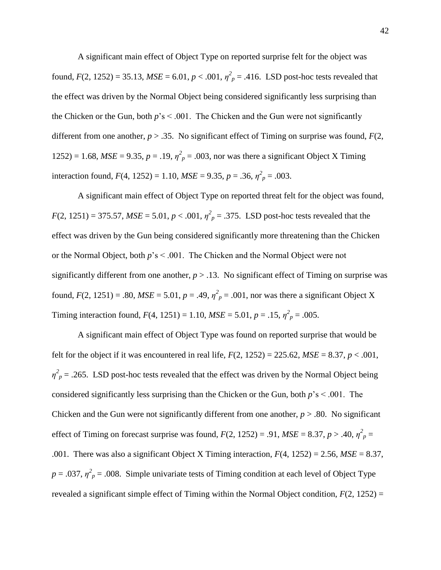A significant main effect of Object Type on reported surprise felt for the object was found,  $F(2, 1252) = 35.13$ ,  $MSE = 6.01$ ,  $p < .001$ ,  $\eta^2_p = .416$ . LSD post-hoc tests revealed that the effect was driven by the Normal Object being considered significantly less surprising than the Chicken or the Gun, both  $p's < .001$ . The Chicken and the Gun were not significantly different from one another,  $p > 0.35$ . No significant effect of Timing on surprise was found,  $F(2)$ , 1252) = 1.68,  $MSE = 9.35$ ,  $p = .19$ ,  $\eta^2 p = .003$ , nor was there a significant Object X Timing interaction found,  $F(4, 1252) = 1.10$ ,  $MSE = 9.35$ ,  $p = .36$ ,  $\eta^2_p = .003$ .

A significant main effect of Object Type on reported threat felt for the object was found,  $F(2, 1251) = 375.57$ ,  $MSE = 5.01$ ,  $p < .001$ ,  $\eta^2 p = .375$ . LSD post-hoc tests revealed that the effect was driven by the Gun being considered significantly more threatening than the Chicken or the Normal Object, both *p*'s < .001. The Chicken and the Normal Object were not significantly different from one another,  $p > 0.13$ . No significant effect of Timing on surprise was found,  $F(2, 1251) = .80$ ,  $MSE = 5.01$ ,  $p = .49$ ,  $\eta^2 p = .001$ , nor was there a significant Object X Timing interaction found,  $F(4, 1251) = 1.10$ ,  $MSE = 5.01$ ,  $p = .15$ ,  $\eta^2_p = .005$ .

A significant main effect of Object Type was found on reported surprise that would be felt for the object if it was encountered in real life,  $F(2, 1252) = 225.62$ ,  $MSE = 8.37$ ,  $p < .001$ ,  $\eta^2 p = 0.265$ . LSD post-hoc tests revealed that the effect was driven by the Normal Object being considered significantly less surprising than the Chicken or the Gun, both *p*'s < .001. The Chicken and the Gun were not significantly different from one another,  $p > .80$ . No significant effect of Timing on forecast surprise was found,  $F(2, 1252) = .91$ ,  $MSE = 8.37$ ,  $p > .40$ ,  $\eta^2_p =$ .001. There was also a significant Object X Timing interaction, *F*(4, 1252) = 2.56, *MSE* = 8.37,  $p = 0.037$ ,  $\eta^2 p = 0.008$ . Simple univariate tests of Timing condition at each level of Object Type revealed a significant simple effect of Timing within the Normal Object condition,  $F(2, 1252) =$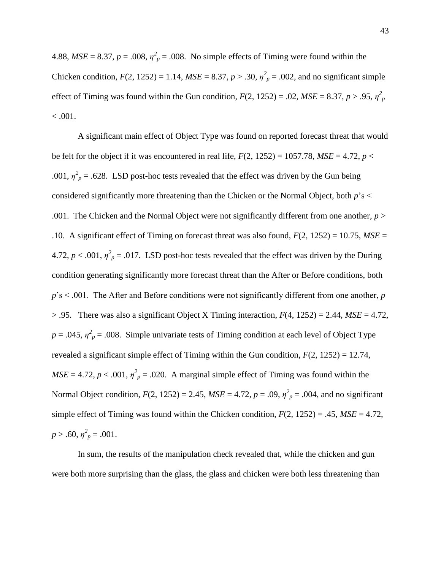4.88,  $MSE = 8.37$ ,  $p = .008$ ,  $\eta^2_p = .008$ . No simple effects of Timing were found within the Chicken condition,  $F(2, 1252) = 1.14$ ,  $MSE = 8.37$ ,  $p > .30$ ,  $\eta^2_p = .002$ , and no significant simple effect of Timing was found within the Gun condition,  $F(2, 1252) = .02$ ,  $MSE = 8.37$ ,  $p > .95$ ,  $\eta_p^2$  $< 0.001$ .

A significant main effect of Object Type was found on reported forecast threat that would be felt for the object if it was encountered in real life,  $F(2, 1252) = 1057.78$ ,  $MSE = 4.72$ ,  $p <$ .001,  $\eta^2$ <sub>p</sub> = .628. LSD post-hoc tests revealed that the effect was driven by the Gun being considered significantly more threatening than the Chicken or the Normal Object, both *p*'s < .001. The Chicken and the Normal Object were not significantly different from one another, *p* > .10. A significant effect of Timing on forecast threat was also found, *F*(2, 1252) = 10.75, *MSE* = 4.72,  $p < .001$ ,  $\eta^2_p = .017$ . LSD post-hoc tests revealed that the effect was driven by the During condition generating significantly more forecast threat than the After or Before conditions, both *p*'s < .001. The After and Before conditions were not significantly different from one another, *p*  $> .95$ . There was also a significant Object X Timing interaction,  $F(4, 1252) = 2.44$ ,  $MSE = 4.72$ ,  $p = 0.045$ ,  $\eta^2$ <sub>p</sub> = .008. Simple univariate tests of Timing condition at each level of Object Type revealed a significant simple effect of Timing within the Gun condition,  $F(2, 1252) = 12.74$ ,  $MSE = 4.72$ ,  $p < .001$ ,  $\eta^2_p = .020$ . A marginal simple effect of Timing was found within the Normal Object condition,  $F(2, 1252) = 2.45$ ,  $MSE = 4.72$ ,  $p = .09$ ,  $\eta^2_p = .004$ , and no significant simple effect of Timing was found within the Chicken condition,  $F(2, 1252) = .45$ ,  $MSE = 4.72$ ,  $p > .60, \eta^2_p = .001.$ 

In sum, the results of the manipulation check revealed that, while the chicken and gun were both more surprising than the glass, the glass and chicken were both less threatening than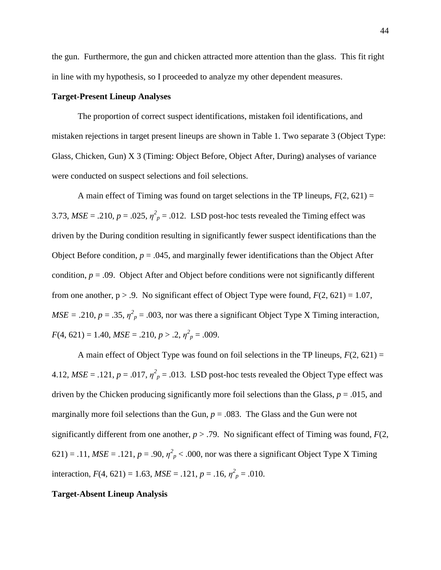the gun. Furthermore, the gun and chicken attracted more attention than the glass. This fit right in line with my hypothesis, so I proceeded to analyze my other dependent measures.

## **Target-Present Lineup Analyses**

The proportion of correct suspect identifications, mistaken foil identifications, and mistaken rejections in target present lineups are shown in Table 1. Two separate 3 (Object Type: Glass, Chicken, Gun) X 3 (Timing: Object Before, Object After, During) analyses of variance were conducted on suspect selections and foil selections.

A main effect of Timing was found on target selections in the TP lineups,  $F(2, 621) =$ 3.73,  $MSE = .210$ ,  $p = .025$ ,  $\eta^2_p = .012$ . LSD post-hoc tests revealed the Timing effect was driven by the During condition resulting in significantly fewer suspect identifications than the Object Before condition,  $p = .045$ , and marginally fewer identifications than the Object After condition,  $p = .09$ . Object After and Object before conditions were not significantly different from one another,  $p > 0.9$ . No significant effect of Object Type were found,  $F(2, 621) = 1.07$ ,  $MSE = .210$ ,  $p = .35$ ,  $\eta^2_p = .003$ , nor was there a significant Object Type X Timing interaction,  $F(4, 621) = 1.40, MSE = .210, p > .2, \eta^2_p = .009.$ 

A main effect of Object Type was found on foil selections in the TP lineups, *F*(2, 621) = 4.12,  $MSE = .121$ ,  $p = .017$ ,  $\eta^2_p = .013$ . LSD post-hoc tests revealed the Object Type effect was driven by the Chicken producing significantly more foil selections than the Glass,  $p = .015$ , and marginally more foil selections than the Gun,  $p = 0.083$ . The Glass and the Gun were not significantly different from one another,  $p > .79$ . No significant effect of Timing was found,  $F(2, \theta)$  $621$ ) = .11,  $MSE = .121$ ,  $p = .90$ ,  $\eta^2_{p}$  < .000, nor was there a significant Object Type X Timing interaction,  $F(4, 621) = 1.63$ ,  $MSE = .121$ ,  $p = .16$ ,  $\eta^2_p = .010$ .

#### **Target-Absent Lineup Analysis**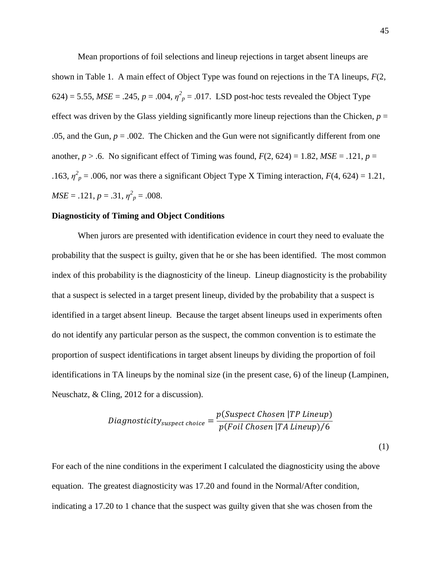Mean proportions of foil selections and lineup rejections in target absent lineups are shown in Table 1. A main effect of Object Type was found on rejections in the TA lineups, *F*(2, 624) = 5.55,  $MSE = .245$ ,  $p = .004$ ,  $\eta^2 p = .017$ . LSD post-hoc tests revealed the Object Type effect was driven by the Glass yielding significantly more lineup rejections than the Chicken,  $p =$ .05, and the Gun,  $p = 0.002$ . The Chicken and the Gun were not significantly different from one another,  $p > 0.6$ . No significant effect of Timing was found,  $F(2, 624) = 1.82$ ,  $MSE = 0.121$ ,  $p = 0.121$ .163,  $\eta^2$ <sub>p</sub> = .006, nor was there a significant Object Type X Timing interaction,  $F(4, 624) = 1.21$ ,  $MSE = .121, p = .31, \eta^2_p = .008.$ 

### **Diagnosticity of Timing and Object Conditions**

When jurors are presented with identification evidence in court they need to evaluate the probability that the suspect is guilty, given that he or she has been identified. The most common index of this probability is the diagnosticity of the lineup. Lineup diagnosticity is the probability that a suspect is selected in a target present lineup, divided by the probability that a suspect is identified in a target absent lineup. Because the target absent lineups used in experiments often do not identify any particular person as the suspect, the common convention is to estimate the proportion of suspect identifications in target absent lineups by dividing the proportion of foil identifications in TA lineups by the nominal size (in the present case, 6) of the lineup (Lampinen, Neuschatz, & Cling, 2012 for a discussion).

$$
Diagnosticity_{suspect\ choice} = \frac{p(Suspect\ Chosen\ | TP\ Lineup)}{p(Foil\ Chosen\ | TA\ Lineup)/6}
$$
\n(1)

For each of the nine conditions in the experiment I calculated the diagnosticity using the above equation. The greatest diagnosticity was 17.20 and found in the Normal/After condition, indicating a 17.20 to 1 chance that the suspect was guilty given that she was chosen from the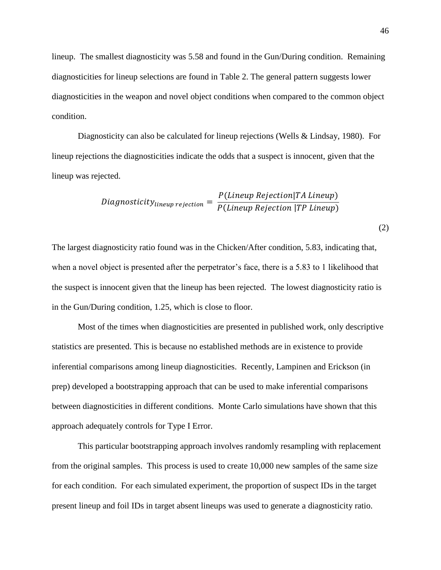lineup. The smallest diagnosticity was 5.58 and found in the Gun/During condition. Remaining diagnosticities for lineup selections are found in Table 2. The general pattern suggests lower diagnosticities in the weapon and novel object conditions when compared to the common object condition.

Diagnosticity can also be calculated for lineup rejections (Wells & Lindsay, 1980). For lineup rejections the diagnosticities indicate the odds that a suspect is innocent, given that the lineup was rejected.

$$
Diagnosticity_{lineup\ rejection} = \frac{P(Lineup\ Rejection|TA\ Lineup)}{P(Lineup\ Rejection|TP\ Lineup)}
$$

The largest diagnosticity ratio found was in the Chicken/After condition, 5.83, indicating that, when a novel object is presented after the perpetrator's face, there is a 5.83 to 1 likelihood that the suspect is innocent given that the lineup has been rejected. The lowest diagnosticity ratio is in the Gun/During condition, 1.25, which is close to floor.

Most of the times when diagnosticities are presented in published work, only descriptive statistics are presented. This is because no established methods are in existence to provide inferential comparisons among lineup diagnosticities. Recently, Lampinen and Erickson (in prep) developed a bootstrapping approach that can be used to make inferential comparisons between diagnosticities in different conditions. Monte Carlo simulations have shown that this approach adequately controls for Type I Error.

This particular bootstrapping approach involves randomly resampling with replacement from the original samples. This process is used to create 10,000 new samples of the same size for each condition. For each simulated experiment, the proportion of suspect IDs in the target present lineup and foil IDs in target absent lineups was used to generate a diagnosticity ratio.

(2)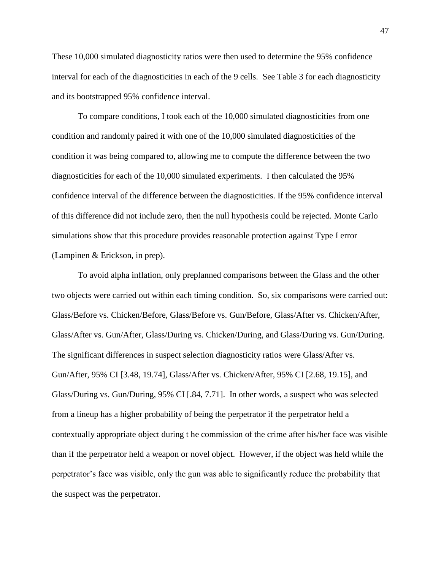These 10,000 simulated diagnosticity ratios were then used to determine the 95% confidence interval for each of the diagnosticities in each of the 9 cells. See Table 3 for each diagnosticity and its bootstrapped 95% confidence interval.

To compare conditions, I took each of the 10,000 simulated diagnosticities from one condition and randomly paired it with one of the 10,000 simulated diagnosticities of the condition it was being compared to, allowing me to compute the difference between the two diagnosticities for each of the 10,000 simulated experiments. I then calculated the 95% confidence interval of the difference between the diagnosticities. If the 95% confidence interval of this difference did not include zero, then the null hypothesis could be rejected. Monte Carlo simulations show that this procedure provides reasonable protection against Type I error (Lampinen & Erickson, in prep).

To avoid alpha inflation, only preplanned comparisons between the Glass and the other two objects were carried out within each timing condition. So, six comparisons were carried out: Glass/Before vs. Chicken/Before, Glass/Before vs. Gun/Before, Glass/After vs. Chicken/After, Glass/After vs. Gun/After, Glass/During vs. Chicken/During, and Glass/During vs. Gun/During. The significant differences in suspect selection diagnosticity ratios were Glass/After vs. Gun/After, 95% CI [3.48, 19.74], Glass/After vs. Chicken/After, 95% CI [2.68, 19.15], and Glass/During vs. Gun/During, 95% CI [.84, 7.71]. In other words, a suspect who was selected from a lineup has a higher probability of being the perpetrator if the perpetrator held a contextually appropriate object during t he commission of the crime after his/her face was visible than if the perpetrator held a weapon or novel object. However, if the object was held while the perpetrator's face was visible, only the gun was able to significantly reduce the probability that the suspect was the perpetrator.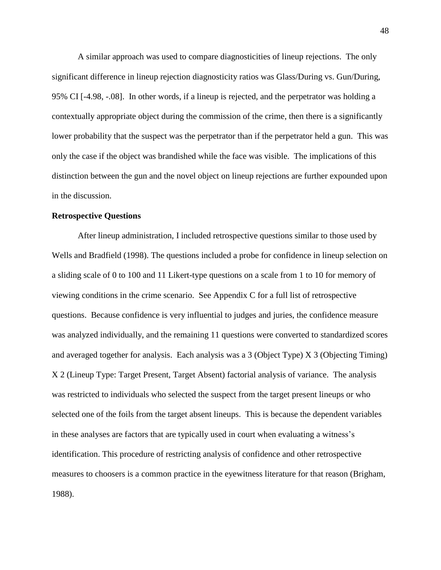A similar approach was used to compare diagnosticities of lineup rejections. The only significant difference in lineup rejection diagnosticity ratios was Glass/During vs. Gun/During, 95% CI [-4.98, -.08]. In other words, if a lineup is rejected, and the perpetrator was holding a contextually appropriate object during the commission of the crime, then there is a significantly lower probability that the suspect was the perpetrator than if the perpetrator held a gun. This was only the case if the object was brandished while the face was visible. The implications of this distinction between the gun and the novel object on lineup rejections are further expounded upon in the discussion.

## **Retrospective Questions**

After lineup administration, I included retrospective questions similar to those used by Wells and Bradfield (1998). The questions included a probe for confidence in lineup selection on a sliding scale of 0 to 100 and 11 Likert-type questions on a scale from 1 to 10 for memory of viewing conditions in the crime scenario. See Appendix C for a full list of retrospective questions. Because confidence is very influential to judges and juries, the confidence measure was analyzed individually, and the remaining 11 questions were converted to standardized scores and averaged together for analysis. Each analysis was a 3 (Object Type) X 3 (Objecting Timing) X 2 (Lineup Type: Target Present, Target Absent) factorial analysis of variance. The analysis was restricted to individuals who selected the suspect from the target present lineups or who selected one of the foils from the target absent lineups. This is because the dependent variables in these analyses are factors that are typically used in court when evaluating a witness's identification. This procedure of restricting analysis of confidence and other retrospective measures to choosers is a common practice in the eyewitness literature for that reason (Brigham, 1988).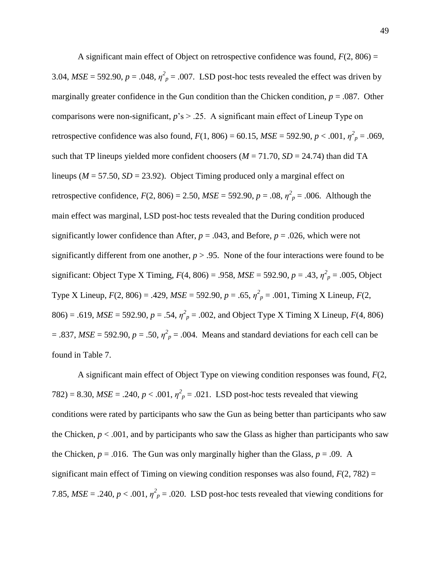A significant main effect of Object on retrospective confidence was found,  $F(2, 806) =$ 3.04,  $MSE = 592.90$ ,  $p = .048$ ,  $\eta^2_p = .007$ . LSD post-hoc tests revealed the effect was driven by marginally greater confidence in the Gun condition than the Chicken condition,  $p = .087$ . Other comparisons were non-significant, *p*'s > .25. A significant main effect of Lineup Type on retrospective confidence was also found,  $F(1, 806) = 60.15$ ,  $MSE = 592.90$ ,  $p < .001$ ,  $\eta^2_p = .069$ , such that TP lineups yielded more confident choosers ( $M = 71.70$ ,  $SD = 24.74$ ) than did TA lineups ( $M = 57.50$ ,  $SD = 23.92$ ). Object Timing produced only a marginal effect on retrospective confidence,  $F(2, 806) = 2.50$ ,  $MSE = 592.90$ ,  $p = .08$ ,  $\eta^2_p = .006$ . Although the main effect was marginal, LSD post-hoc tests revealed that the During condition produced significantly lower confidence than After,  $p = .043$ , and Before,  $p = .026$ , which were not significantly different from one another,  $p > .95$ . None of the four interactions were found to be significant: Object Type X Timing,  $F(4, 806) = .958$ ,  $MSE = 592.90$ ,  $p = .43$ ,  $\eta^2_p = .005$ , Object Type X Lineup,  $F(2, 806) = .429$ ,  $MSE = 592.90$ ,  $p = .65$ ,  $\eta^2_p = .001$ , Timing X Lineup,  $F(2, 806) = .429$ ,  $MSE = 592.90$ ,  $p = .65$ ,  $\eta^2_p = .001$ , Timing X Lineup,  $F(2, 806) = .429$ ,  $MSE = 592.90$ ,  $p = .65$ ,  $\eta^2_p = .001$ , Timing 806) = .619,  $MSE = 592.90$ ,  $p = .54$ ,  $\eta^2 p = .002$ , and Object Type X Timing X Lineup,  $F(4, 806)$  $=$  .837, *MSE* = 592.90,  $p = .50$ ,  $\eta^2$ <sub>p</sub> = .004. Means and standard deviations for each cell can be found in Table 7.

A significant main effect of Object Type on viewing condition responses was found, *F*(2, 782) = 8.30,  $MSE = .240$ ,  $p < .001$ ,  $\eta^2 p = .021$ . LSD post-hoc tests revealed that viewing conditions were rated by participants who saw the Gun as being better than participants who saw the Chicken,  $p < .001$ , and by participants who saw the Glass as higher than participants who saw the Chicken,  $p = .016$ . The Gun was only marginally higher than the Glass,  $p = .09$ . A significant main effect of Timing on viewing condition responses was also found,  $F(2, 782) =$ 7.85,  $MSE = .240$ ,  $p < .001$ ,  $\eta^2_p = .020$ . LSD post-hoc tests revealed that viewing conditions for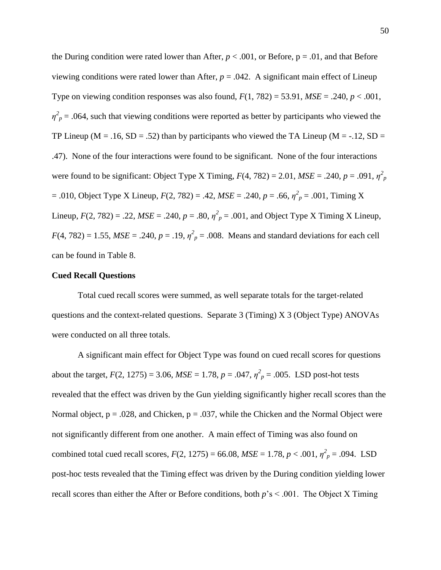the During condition were rated lower than After,  $p < .001$ , or Before,  $p = .01$ , and that Before viewing conditions were rated lower than After,  $p = .042$ . A significant main effect of Lineup Type on viewing condition responses was also found,  $F(1, 782) = 53.91$ ,  $MSE = .240$ ,  $p < .001$ ,  $\eta^2$ <sub>*p*</sub> = .064, such that viewing conditions were reported as better by participants who viewed the TP Lineup ( $M = .16$ ,  $SD = .52$ ) than by participants who viewed the TA Lineup ( $M = -.12$ ,  $SD =$ .47). None of the four interactions were found to be significant. None of the four interactions were found to be significant: Object Type X Timing,  $F(4, 782) = 2.01$ ,  $MSE = .240$ ,  $p = .091$ ,  $\eta_p^2$  $= .010$ , Object Type X Lineup,  $F(2, 782) = .42$ ,  $MSE = .240$ ,  $p = .66$ ,  $\eta^2_p = .001$ , Timing X Lineup,  $F(2, 782) = .22$ ,  $MSE = .240$ ,  $p = .80$ ,  $\eta^2 p = .001$ , and Object Type X Timing X Lineup,  $F(4, 782) = 1.55$ ,  $MSE = .240$ ,  $p = .19$ ,  $\eta^2 p = .008$ . Means and standard deviations for each cell can be found in Table 8.

# **Cued Recall Questions**

Total cued recall scores were summed, as well separate totals for the target-related questions and the context-related questions. Separate 3 (Timing) X 3 (Object Type) ANOVAs were conducted on all three totals.

A significant main effect for Object Type was found on cued recall scores for questions about the target,  $F(2, 1275) = 3.06$ ,  $MSE = 1.78$ ,  $p = .047$ ,  $\eta_p^2 = .005$ . LSD post-hot tests revealed that the effect was driven by the Gun yielding significantly higher recall scores than the Normal object,  $p = .028$ , and Chicken,  $p = .037$ , while the Chicken and the Normal Object were not significantly different from one another. A main effect of Timing was also found on combined total cued recall scores,  $F(2, 1275) = 66.08$ ,  $MSE = 1.78$ ,  $p < .001$ ,  $\eta^2_p = .094$ . LSD post-hoc tests revealed that the Timing effect was driven by the During condition yielding lower recall scores than either the After or Before conditions, both *p*'s < .001. The Object X Timing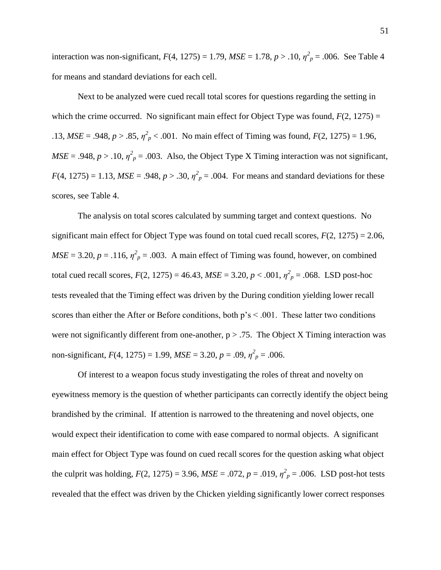interaction was non-significant,  $F(4, 1275) = 1.79$ ,  $MSE = 1.78$ ,  $p > .10$ ,  $\eta^2_p = .006$ . See Table 4 for means and standard deviations for each cell.

Next to be analyzed were cued recall total scores for questions regarding the setting in which the crime occurred. No significant main effect for Object Type was found,  $F(2, 1275) =$ .13,  $MSE = .948$ ,  $p > .85$ ,  $\eta^2$ <sub>p</sub> < .001. No main effect of Timing was found,  $F(2, 1275) = 1.96$ ,  $MSE = .948$ ,  $p > .10$ ,  $\eta^2_p = .003$ . Also, the Object Type X Timing interaction was not significant,  $F(4, 1275) = 1.13$ ,  $MSE = .948$ ,  $p > .30$ ,  $\eta_p^2 = .004$ . For means and standard deviations for these scores, see Table 4.

The analysis on total scores calculated by summing target and context questions. No significant main effect for Object Type was found on total cued recall scores, *F*(2, 1275) = 2.06,  $MSE = 3.20, p = .116, \eta^2_p = .003$ . A main effect of Timing was found, however, on combined total cued recall scores,  $F(2, 1275) = 46.43$ ,  $MSE = 3.20$ ,  $p < .001$ ,  $\eta^2_p = .068$ . LSD post-hoc tests revealed that the Timing effect was driven by the During condition yielding lower recall scores than either the After or Before conditions, both  $p's < .001$ . These latter two conditions were not significantly different from one-another,  $p > .75$ . The Object X Timing interaction was non-significant,  $F(4, 1275) = 1.99$ ,  $MSE = 3.20$ ,  $p = .09$ ,  $\eta_p^2 = .006$ .

Of interest to a weapon focus study investigating the roles of threat and novelty on eyewitness memory is the question of whether participants can correctly identify the object being brandished by the criminal. If attention is narrowed to the threatening and novel objects, one would expect their identification to come with ease compared to normal objects. A significant main effect for Object Type was found on cued recall scores for the question asking what object the culprit was holding,  $F(2, 1275) = 3.96$ ,  $MSE = .072$ ,  $p = .019$ ,  $\eta_p^2 = .006$ . LSD post-hot tests revealed that the effect was driven by the Chicken yielding significantly lower correct responses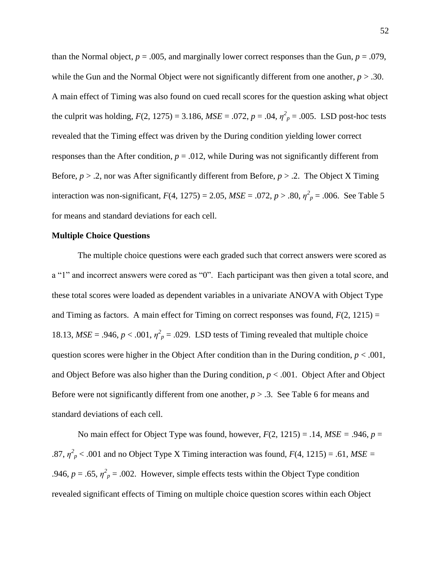than the Normal object,  $p = .005$ , and marginally lower correct responses than the Gun,  $p = .079$ , while the Gun and the Normal Object were not significantly different from one another,  $p > .30$ . A main effect of Timing was also found on cued recall scores for the question asking what object the culprit was holding,  $F(2, 1275) = 3.186$ ,  $MSE = .072$ ,  $p = .04$ ,  $\eta^2_p = .005$ . LSD post-hoc tests revealed that the Timing effect was driven by the During condition yielding lower correct responses than the After condition,  $p = .012$ , while During was not significantly different from Before, *p* > .2, nor was After significantly different from Before, *p* > .2. The Object X Timing interaction was non-significant,  $F(4, 1275) = 2.05$ ,  $MSE = .072$ ,  $p > .80$ ,  $\eta^2_p = .006$ . See Table 5 for means and standard deviations for each cell.

### **Multiple Choice Questions**

The multiple choice questions were each graded such that correct answers were scored as a "1" and incorrect answers were cored as "0". Each participant was then given a total score, and these total scores were loaded as dependent variables in a univariate ANOVA with Object Type and Timing as factors. A main effect for Timing on correct responses was found,  $F(2, 1215) =$ 18.13,  $MSE = .946$ ,  $p < .001$ ,  $\eta^2_p = .029$ . LSD tests of Timing revealed that multiple choice question scores were higher in the Object After condition than in the During condition,  $p < .001$ , and Object Before was also higher than the During condition,  $p < .001$ . Object After and Object Before were not significantly different from one another,  $p > 0.3$ . See Table 6 for means and standard deviations of each cell.

No main effect for Object Type was found, however,  $F(2, 1215) = .14$ ,  $MSE = .946$ ,  $p =$ .87,  $\eta^2$ <sub>p</sub> < .001 and no Object Type X Timing interaction was found,  $F(4, 1215) = .61$ ,  $MSE =$ .946,  $p = .65$ ,  $\eta^2 p = .002$ . However, simple effects tests within the Object Type condition revealed significant effects of Timing on multiple choice question scores within each Object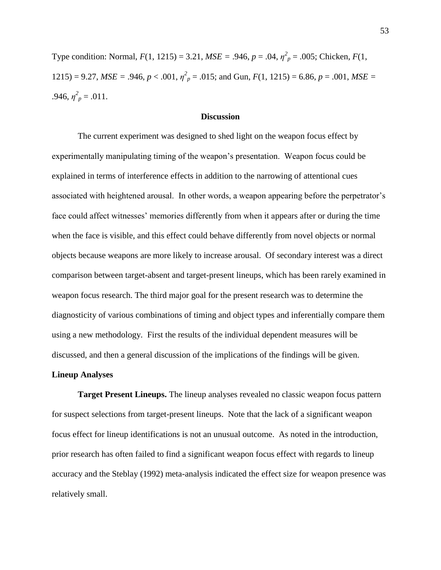Type condition: Normal,  $F(1, 1215) = 3.21$ ,  $MSE = .946$ ,  $p = .04$ ,  $\eta^2 p = .005$ ; Chicken,  $F(1, p) = .005$ 1215) = 9.27, *MSE* = .946,  $p < .001$ ,  $\eta^2 p = .015$ ; and Gun,  $F(1, 1215) = 6.86$ ,  $p = .001$ , *MSE* =  $.946, \eta_p^2 = .011.$ 

## **Discussion**

The current experiment was designed to shed light on the weapon focus effect by experimentally manipulating timing of the weapon's presentation. Weapon focus could be explained in terms of interference effects in addition to the narrowing of attentional cues associated with heightened arousal. In other words, a weapon appearing before the perpetrator's face could affect witnesses' memories differently from when it appears after or during the time when the face is visible, and this effect could behave differently from novel objects or normal objects because weapons are more likely to increase arousal. Of secondary interest was a direct comparison between target-absent and target-present lineups, which has been rarely examined in weapon focus research. The third major goal for the present research was to determine the diagnosticity of various combinations of timing and object types and inferentially compare them using a new methodology. First the results of the individual dependent measures will be discussed, and then a general discussion of the implications of the findings will be given.

### **Lineup Analyses**

**Target Present Lineups.** The lineup analyses revealed no classic weapon focus pattern for suspect selections from target-present lineups. Note that the lack of a significant weapon focus effect for lineup identifications is not an unusual outcome. As noted in the introduction, prior research has often failed to find a significant weapon focus effect with regards to lineup accuracy and the Steblay (1992) meta-analysis indicated the effect size for weapon presence was relatively small.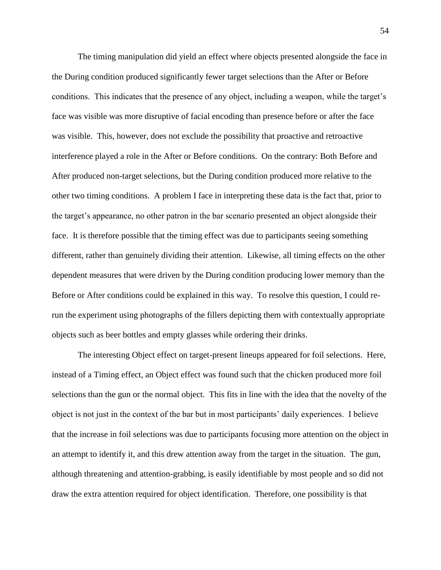The timing manipulation did yield an effect where objects presented alongside the face in the During condition produced significantly fewer target selections than the After or Before conditions. This indicates that the presence of any object, including a weapon, while the target's face was visible was more disruptive of facial encoding than presence before or after the face was visible. This, however, does not exclude the possibility that proactive and retroactive interference played a role in the After or Before conditions. On the contrary: Both Before and After produced non-target selections, but the During condition produced more relative to the other two timing conditions. A problem I face in interpreting these data is the fact that, prior to the target's appearance, no other patron in the bar scenario presented an object alongside their face. It is therefore possible that the timing effect was due to participants seeing something different, rather than genuinely dividing their attention. Likewise, all timing effects on the other dependent measures that were driven by the During condition producing lower memory than the Before or After conditions could be explained in this way. To resolve this question, I could rerun the experiment using photographs of the fillers depicting them with contextually appropriate objects such as beer bottles and empty glasses while ordering their drinks.

The interesting Object effect on target-present lineups appeared for foil selections. Here, instead of a Timing effect, an Object effect was found such that the chicken produced more foil selections than the gun or the normal object. This fits in line with the idea that the novelty of the object is not just in the context of the bar but in most participants' daily experiences. I believe that the increase in foil selections was due to participants focusing more attention on the object in an attempt to identify it, and this drew attention away from the target in the situation. The gun, although threatening and attention-grabbing, is easily identifiable by most people and so did not draw the extra attention required for object identification. Therefore, one possibility is that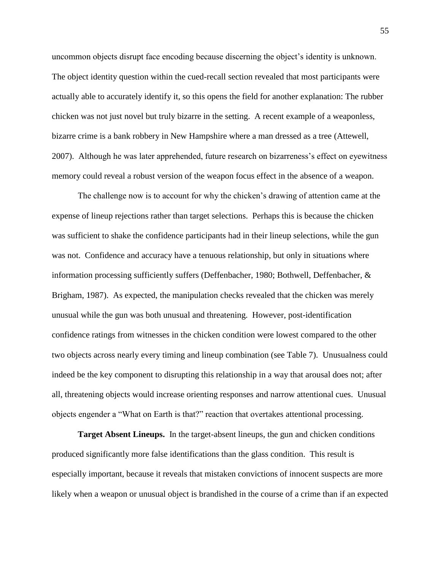uncommon objects disrupt face encoding because discerning the object's identity is unknown. The object identity question within the cued-recall section revealed that most participants were actually able to accurately identify it, so this opens the field for another explanation: The rubber chicken was not just novel but truly bizarre in the setting. A recent example of a weaponless, bizarre crime is a bank robbery in New Hampshire where a man dressed as a tree (Attewell, 2007). Although he was later apprehended, future research on bizarreness's effect on eyewitness memory could reveal a robust version of the weapon focus effect in the absence of a weapon.

The challenge now is to account for why the chicken's drawing of attention came at the expense of lineup rejections rather than target selections. Perhaps this is because the chicken was sufficient to shake the confidence participants had in their lineup selections, while the gun was not. Confidence and accuracy have a tenuous relationship, but only in situations where information processing sufficiently suffers (Deffenbacher, 1980; Bothwell, Deffenbacher, & Brigham, 1987). As expected, the manipulation checks revealed that the chicken was merely unusual while the gun was both unusual and threatening. However, post-identification confidence ratings from witnesses in the chicken condition were lowest compared to the other two objects across nearly every timing and lineup combination (see Table 7). Unusualness could indeed be the key component to disrupting this relationship in a way that arousal does not; after all, threatening objects would increase orienting responses and narrow attentional cues. Unusual objects engender a "What on Earth is that?" reaction that overtakes attentional processing.

**Target Absent Lineups.** In the target-absent lineups, the gun and chicken conditions produced significantly more false identifications than the glass condition. This result is especially important, because it reveals that mistaken convictions of innocent suspects are more likely when a weapon or unusual object is brandished in the course of a crime than if an expected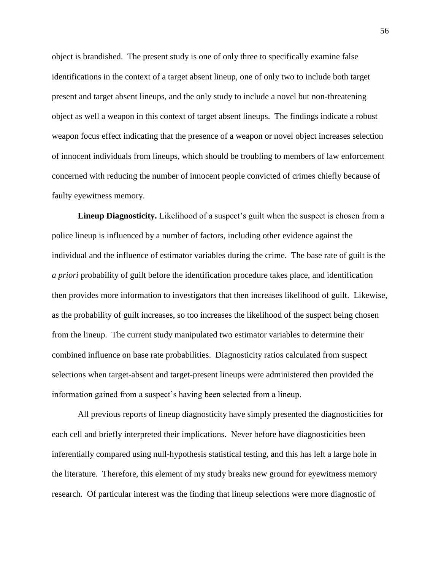object is brandished. The present study is one of only three to specifically examine false identifications in the context of a target absent lineup, one of only two to include both target present and target absent lineups, and the only study to include a novel but non-threatening object as well a weapon in this context of target absent lineups. The findings indicate a robust weapon focus effect indicating that the presence of a weapon or novel object increases selection of innocent individuals from lineups, which should be troubling to members of law enforcement concerned with reducing the number of innocent people convicted of crimes chiefly because of faulty eyewitness memory.

**Lineup Diagnosticity.** Likelihood of a suspect's guilt when the suspect is chosen from a police lineup is influenced by a number of factors, including other evidence against the individual and the influence of estimator variables during the crime. The base rate of guilt is the *a priori* probability of guilt before the identification procedure takes place, and identification then provides more information to investigators that then increases likelihood of guilt. Likewise, as the probability of guilt increases, so too increases the likelihood of the suspect being chosen from the lineup. The current study manipulated two estimator variables to determine their combined influence on base rate probabilities. Diagnosticity ratios calculated from suspect selections when target-absent and target-present lineups were administered then provided the information gained from a suspect's having been selected from a lineup.

All previous reports of lineup diagnosticity have simply presented the diagnosticities for each cell and briefly interpreted their implications. Never before have diagnosticities been inferentially compared using null-hypothesis statistical testing, and this has left a large hole in the literature. Therefore, this element of my study breaks new ground for eyewitness memory research. Of particular interest was the finding that lineup selections were more diagnostic of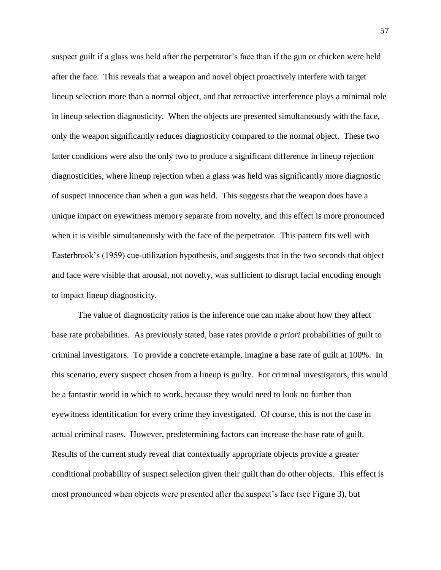suspect guilt if a glass was held after the perpetrator's face than if the gun or chicken were held after the face. This reveals that a weapon and novel object proactively interfere with target lineup selection more than a normal object, and that retroactive interference plays a minimal role in lineup selection diagnosticity. When the objects are presented simultaneously with the face, only the weapon significantly reduces diagnosticity compared to the normal object. These two latter conditions were also the only two to produce a significant difference in lineup rejection diagnosticities, where lineup rejection when a glass was held was significantly more diagnostic of suspect innocence than when a gun was held. This suggests that the weapon does have a unique impact on eyewitness memory separate from novelty, and this effect is more pronounced when it is visible simultaneously with the face of the perpetrator. This pattern fits well with Easterbrook's (1959) cue-utilization hypothesis, and suggests that in the two seconds that object and face were visible that arousal, not novelty, was sufficient to disrupt facial encoding enough to impact lineup diagnosticity.

The value of diagnosticity ratios is the inference one can make about how they affect base rate probabilities. As previously stated, base rates provide *a priori* probabilities of guilt to criminal investigators. To provide a concrete example, imagine a base rate of guilt at 100%. In this scenario, every suspect chosen from a lineup is guilty. For criminal investigators, this would be a fantastic world in which to work, because they would need to look no further than eyewitness identification for every crime they investigated. Of course, this is not the case in actual criminal cases. However, predetermining factors can increase the base rate of guilt. Results of the current study reveal that contextually appropriate objects provide a greater conditional probability of suspect selection given their guilt than do other objects. This effect is most pronounced when objects were presented after the suspect's face (see Figure 3), but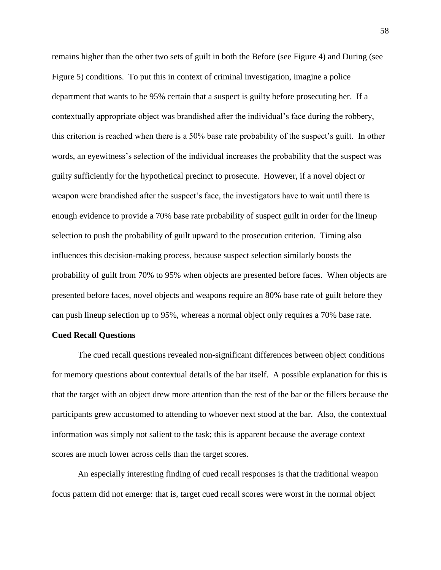remains higher than the other two sets of guilt in both the Before (see Figure 4) and During (see Figure 5) conditions. To put this in context of criminal investigation, imagine a police department that wants to be 95% certain that a suspect is guilty before prosecuting her. If a contextually appropriate object was brandished after the individual's face during the robbery, this criterion is reached when there is a 50% base rate probability of the suspect's guilt. In other words, an eyewitness's selection of the individual increases the probability that the suspect was guilty sufficiently for the hypothetical precinct to prosecute. However, if a novel object or weapon were brandished after the suspect's face, the investigators have to wait until there is enough evidence to provide a 70% base rate probability of suspect guilt in order for the lineup selection to push the probability of guilt upward to the prosecution criterion. Timing also influences this decision-making process, because suspect selection similarly boosts the probability of guilt from 70% to 95% when objects are presented before faces. When objects are presented before faces, novel objects and weapons require an 80% base rate of guilt before they can push lineup selection up to 95%, whereas a normal object only requires a 70% base rate.

## **Cued Recall Questions**

The cued recall questions revealed non-significant differences between object conditions for memory questions about contextual details of the bar itself. A possible explanation for this is that the target with an object drew more attention than the rest of the bar or the fillers because the participants grew accustomed to attending to whoever next stood at the bar. Also, the contextual information was simply not salient to the task; this is apparent because the average context scores are much lower across cells than the target scores.

An especially interesting finding of cued recall responses is that the traditional weapon focus pattern did not emerge: that is, target cued recall scores were worst in the normal object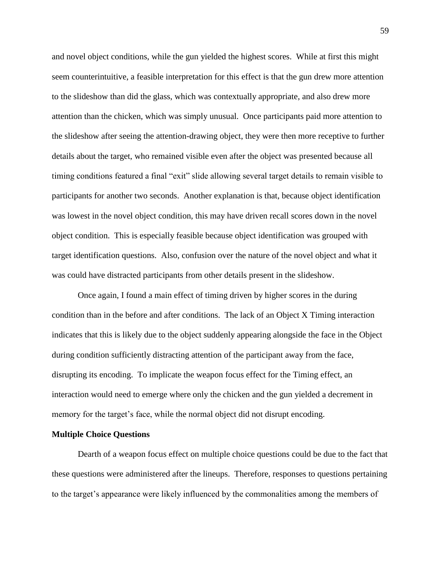and novel object conditions, while the gun yielded the highest scores. While at first this might seem counterintuitive, a feasible interpretation for this effect is that the gun drew more attention to the slideshow than did the glass, which was contextually appropriate, and also drew more attention than the chicken, which was simply unusual. Once participants paid more attention to the slideshow after seeing the attention-drawing object, they were then more receptive to further details about the target, who remained visible even after the object was presented because all timing conditions featured a final "exit" slide allowing several target details to remain visible to participants for another two seconds. Another explanation is that, because object identification was lowest in the novel object condition, this may have driven recall scores down in the novel object condition. This is especially feasible because object identification was grouped with target identification questions. Also, confusion over the nature of the novel object and what it was could have distracted participants from other details present in the slideshow.

Once again, I found a main effect of timing driven by higher scores in the during condition than in the before and after conditions. The lack of an Object X Timing interaction indicates that this is likely due to the object suddenly appearing alongside the face in the Object during condition sufficiently distracting attention of the participant away from the face, disrupting its encoding. To implicate the weapon focus effect for the Timing effect, an interaction would need to emerge where only the chicken and the gun yielded a decrement in memory for the target's face, while the normal object did not disrupt encoding.

### **Multiple Choice Questions**

Dearth of a weapon focus effect on multiple choice questions could be due to the fact that these questions were administered after the lineups. Therefore, responses to questions pertaining to the target's appearance were likely influenced by the commonalities among the members of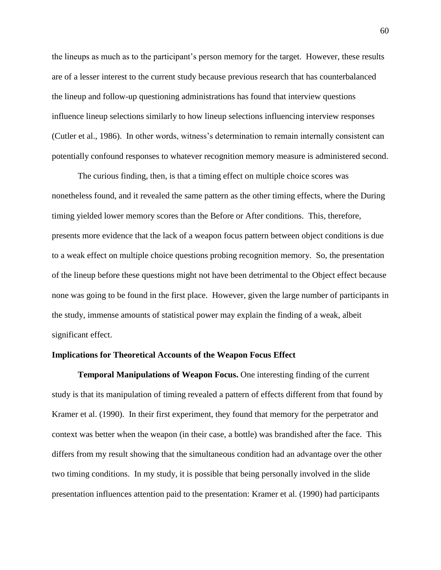the lineups as much as to the participant's person memory for the target. However, these results are of a lesser interest to the current study because previous research that has counterbalanced the lineup and follow-up questioning administrations has found that interview questions influence lineup selections similarly to how lineup selections influencing interview responses (Cutler et al., 1986). In other words, witness's determination to remain internally consistent can potentially confound responses to whatever recognition memory measure is administered second.

The curious finding, then, is that a timing effect on multiple choice scores was nonetheless found, and it revealed the same pattern as the other timing effects, where the During timing yielded lower memory scores than the Before or After conditions. This, therefore, presents more evidence that the lack of a weapon focus pattern between object conditions is due to a weak effect on multiple choice questions probing recognition memory. So, the presentation of the lineup before these questions might not have been detrimental to the Object effect because none was going to be found in the first place. However, given the large number of participants in the study, immense amounts of statistical power may explain the finding of a weak, albeit significant effect.

### **Implications for Theoretical Accounts of the Weapon Focus Effect**

**Temporal Manipulations of Weapon Focus.** One interesting finding of the current study is that its manipulation of timing revealed a pattern of effects different from that found by Kramer et al. (1990). In their first experiment, they found that memory for the perpetrator and context was better when the weapon (in their case, a bottle) was brandished after the face. This differs from my result showing that the simultaneous condition had an advantage over the other two timing conditions. In my study, it is possible that being personally involved in the slide presentation influences attention paid to the presentation: Kramer et al. (1990) had participants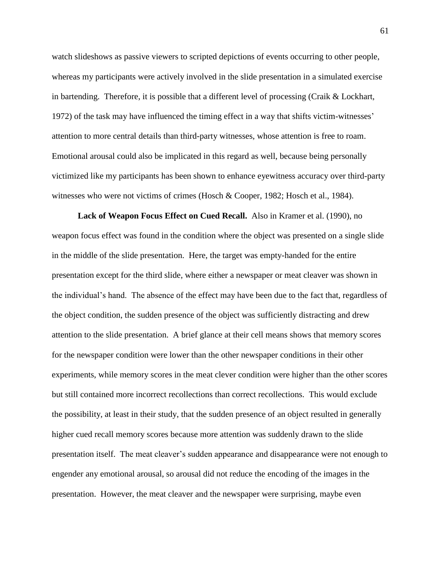watch slideshows as passive viewers to scripted depictions of events occurring to other people, whereas my participants were actively involved in the slide presentation in a simulated exercise in bartending. Therefore, it is possible that a different level of processing (Craik & Lockhart, 1972) of the task may have influenced the timing effect in a way that shifts victim-witnesses' attention to more central details than third-party witnesses, whose attention is free to roam. Emotional arousal could also be implicated in this regard as well, because being personally victimized like my participants has been shown to enhance eyewitness accuracy over third-party witnesses who were not victims of crimes (Hosch & Cooper, 1982; Hosch et al., 1984).

**Lack of Weapon Focus Effect on Cued Recall.** Also in Kramer et al. (1990), no weapon focus effect was found in the condition where the object was presented on a single slide in the middle of the slide presentation. Here, the target was empty-handed for the entire presentation except for the third slide, where either a newspaper or meat cleaver was shown in the individual's hand. The absence of the effect may have been due to the fact that, regardless of the object condition, the sudden presence of the object was sufficiently distracting and drew attention to the slide presentation. A brief glance at their cell means shows that memory scores for the newspaper condition were lower than the other newspaper conditions in their other experiments, while memory scores in the meat clever condition were higher than the other scores but still contained more incorrect recollections than correct recollections. This would exclude the possibility, at least in their study, that the sudden presence of an object resulted in generally higher cued recall memory scores because more attention was suddenly drawn to the slide presentation itself. The meat cleaver's sudden appearance and disappearance were not enough to engender any emotional arousal, so arousal did not reduce the encoding of the images in the presentation. However, the meat cleaver and the newspaper were surprising, maybe even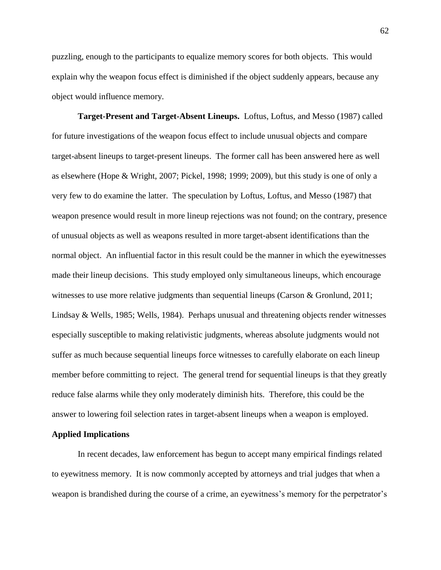puzzling, enough to the participants to equalize memory scores for both objects. This would explain why the weapon focus effect is diminished if the object suddenly appears, because any object would influence memory.

**Target-Present and Target-Absent Lineups.** Loftus, Loftus, and Messo (1987) called for future investigations of the weapon focus effect to include unusual objects and compare target-absent lineups to target-present lineups. The former call has been answered here as well as elsewhere (Hope & Wright, 2007; Pickel, 1998; 1999; 2009), but this study is one of only a very few to do examine the latter. The speculation by Loftus, Loftus, and Messo (1987) that weapon presence would result in more lineup rejections was not found; on the contrary, presence of unusual objects as well as weapons resulted in more target-absent identifications than the normal object. An influential factor in this result could be the manner in which the eyewitnesses made their lineup decisions. This study employed only simultaneous lineups, which encourage witnesses to use more relative judgments than sequential lineups (Carson & Gronlund, 2011; Lindsay & Wells, 1985; Wells, 1984). Perhaps unusual and threatening objects render witnesses especially susceptible to making relativistic judgments, whereas absolute judgments would not suffer as much because sequential lineups force witnesses to carefully elaborate on each lineup member before committing to reject. The general trend for sequential lineups is that they greatly reduce false alarms while they only moderately diminish hits. Therefore, this could be the answer to lowering foil selection rates in target-absent lineups when a weapon is employed.

## **Applied Implications**

In recent decades, law enforcement has begun to accept many empirical findings related to eyewitness memory. It is now commonly accepted by attorneys and trial judges that when a weapon is brandished during the course of a crime, an eyewitness's memory for the perpetrator's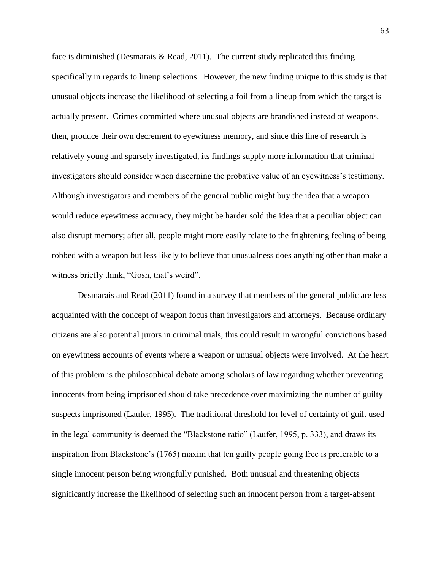face is diminished (Desmarais & Read, 2011). The current study replicated this finding specifically in regards to lineup selections. However, the new finding unique to this study is that unusual objects increase the likelihood of selecting a foil from a lineup from which the target is actually present. Crimes committed where unusual objects are brandished instead of weapons, then, produce their own decrement to eyewitness memory, and since this line of research is relatively young and sparsely investigated, its findings supply more information that criminal investigators should consider when discerning the probative value of an eyewitness's testimony. Although investigators and members of the general public might buy the idea that a weapon would reduce eyewitness accuracy, they might be harder sold the idea that a peculiar object can also disrupt memory; after all, people might more easily relate to the frightening feeling of being robbed with a weapon but less likely to believe that unusualness does anything other than make a witness briefly think, "Gosh, that's weird".

Desmarais and Read (2011) found in a survey that members of the general public are less acquainted with the concept of weapon focus than investigators and attorneys. Because ordinary citizens are also potential jurors in criminal trials, this could result in wrongful convictions based on eyewitness accounts of events where a weapon or unusual objects were involved. At the heart of this problem is the philosophical debate among scholars of law regarding whether preventing innocents from being imprisoned should take precedence over maximizing the number of guilty suspects imprisoned (Laufer, 1995). The traditional threshold for level of certainty of guilt used in the legal community is deemed the "Blackstone ratio" (Laufer, 1995, p. 333), and draws its inspiration from Blackstone's (1765) maxim that ten guilty people going free is preferable to a single innocent person being wrongfully punished. Both unusual and threatening objects significantly increase the likelihood of selecting such an innocent person from a target-absent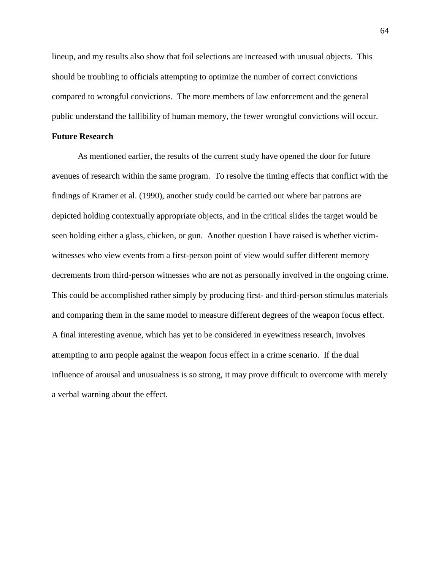lineup, and my results also show that foil selections are increased with unusual objects. This should be troubling to officials attempting to optimize the number of correct convictions compared to wrongful convictions. The more members of law enforcement and the general public understand the fallibility of human memory, the fewer wrongful convictions will occur.

### **Future Research**

As mentioned earlier, the results of the current study have opened the door for future avenues of research within the same program. To resolve the timing effects that conflict with the findings of Kramer et al. (1990), another study could be carried out where bar patrons are depicted holding contextually appropriate objects, and in the critical slides the target would be seen holding either a glass, chicken, or gun. Another question I have raised is whether victimwitnesses who view events from a first-person point of view would suffer different memory decrements from third-person witnesses who are not as personally involved in the ongoing crime. This could be accomplished rather simply by producing first- and third-person stimulus materials and comparing them in the same model to measure different degrees of the weapon focus effect. A final interesting avenue, which has yet to be considered in eyewitness research, involves attempting to arm people against the weapon focus effect in a crime scenario. If the dual influence of arousal and unusualness is so strong, it may prove difficult to overcome with merely a verbal warning about the effect.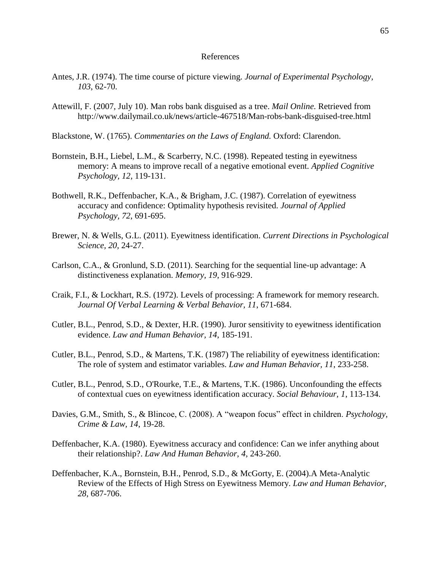#### References

- Antes, J.R. (1974). The time course of picture viewing. *Journal of Experimental Psychology, 103*, 62-70.
- Attewill, F. (2007, July 10). Man robs bank disguised as a tree. *Mail Online.* Retrieved from http://www.dailymail.co.uk/news/article-467518/Man-robs-bank-disguised-tree.html
- Blackstone, W. (1765). *Commentaries on the Laws of England.* Oxford: Clarendon.
- Bornstein, B.H., Liebel, L.M., & Scarberry, N.C. (1998). Repeated testing in eyewitness memory: A means to improve recall of a negative emotional event. *Applied Cognitive Psychology, 12,* 119-131.
- Bothwell, R.K., Deffenbacher, K.A., & Brigham, J.C. (1987). Correlation of eyewitness accuracy and confidence: Optimality hypothesis revisited. *Journal of Applied Psychology, 72*, 691-695.
- Brewer, N. & Wells, G.L. (2011). Eyewitness identification. *Current Directions in Psychological Science, 20,* 24-27.
- Carlson, C.A., & Gronlund, S.D. (2011). Searching for the sequential line-up advantage: A distinctiveness explanation. *Memory, 19*, 916-929.
- Craik, F.I., & Lockhart, R.S. (1972). Levels of processing: A framework for memory research. *Journal Of Verbal Learning & Verbal Behavior, 11*, 671-684.
- Cutler, B.L., Penrod, S.D., & Dexter, H.R. (1990). Juror sensitivity to eyewitness identification evidence. *Law and Human Behavior, 14*, 185-191.
- Cutler, B.L., Penrod, S.D., & Martens, T.K. (1987) The reliability of eyewitness identification: The role of system and estimator variables. *Law and Human Behavior, 11*, 233-258.
- Cutler, B.L., Penrod, S.D., O'Rourke, T.E., & Martens, T.K. (1986). Unconfounding the effects of contextual cues on eyewitness identification accuracy. *Social Behaviour, 1*, 113-134.
- Davies, G.M., Smith, S., & Blincoe, C. (2008). A "weapon focus" effect in children. *Psychology, Crime & Law, 14*, 19-28.
- Deffenbacher, K.A. (1980). Eyewitness accuracy and confidence: Can we infer anything about their relationship?. *Law And Human Behavior, 4*, 243-260.
- Deffenbacher, K.A., Bornstein, B.H., Penrod, S.D., & McGorty, E. (2004).A Meta-Analytic Review of the Effects of High Stress on Eyewitness Memory. *Law and Human Behavior, 28*, 687-706.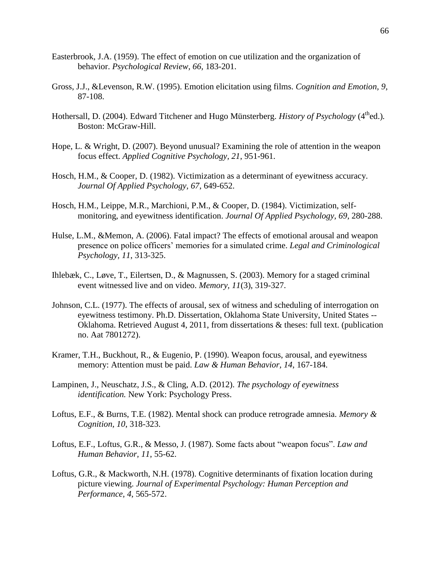- Easterbrook, J.A. (1959). The effect of emotion on cue utilization and the organization of behavior. *Psychological Review, 66,* 183-201.
- Gross, J.J., &Levenson, R.W. (1995). Emotion elicitation using films. *Cognition and Emotion, 9*, 87-108.
- Hothersall, D. (2004). Edward Titchener and Hugo Münsterberg. *History of Psychology* (4<sup>th</sup>ed.). Boston: McGraw-Hill.
- Hope, L. & Wright, D. (2007). Beyond unusual? Examining the role of attention in the weapon focus effect. *Applied Cognitive Psychology, 21*, 951-961.
- Hosch, H.M., & Cooper, D. (1982). Victimization as a determinant of eyewitness accuracy. *Journal Of Applied Psychology, 67*, 649-652.
- Hosch, H.M., Leippe, M.R., Marchioni, P.M., & Cooper, D. (1984). Victimization, selfmonitoring, and eyewitness identification. *Journal Of Applied Psychology, 69*, 280-288.
- Hulse, L.M., &Memon, A. (2006). Fatal impact? The effects of emotional arousal and weapon presence on police officers' memories for a simulated crime. *Legal and Criminological Psychology, 11*, 313-325.
- Ihlebæk, C., Løve, T., Eilertsen, D., & Magnussen, S. (2003). Memory for a staged criminal event witnessed live and on video. *Memory, 11*(3), 319-327.
- Johnson, C.L. (1977). The effects of arousal, sex of witness and scheduling of interrogation on eyewitness testimony. Ph.D. Dissertation, Oklahoma State University, United States -- Oklahoma. Retrieved August 4, 2011, from dissertations & theses: full text. (publication no. Aat 7801272).
- Kramer, T.H., Buckhout, R., & Eugenio, P. (1990). Weapon focus, arousal, and eyewitness memory: Attention must be paid. *Law & Human Behavior, 14*, 167-184.
- Lampinen, J., Neuschatz, J.S., & Cling, A.D. (2012). *The psychology of eyewitness identification.* New York: Psychology Press.
- Loftus, E.F., & Burns, T.E. (1982). Mental shock can produce retrograde amnesia. *Memory & Cognition, 10*, 318-323.
- Loftus, E.F., Loftus, G.R., & Messo, J. (1987). Some facts about "weapon focus". *Law and Human Behavior, 11*, 55-62.
- Loftus, G.R., & Mackworth, N.H. (1978). Cognitive determinants of fixation location during picture viewing. *Journal of Experimental Psychology: Human Perception and Performance, 4*, 565-572.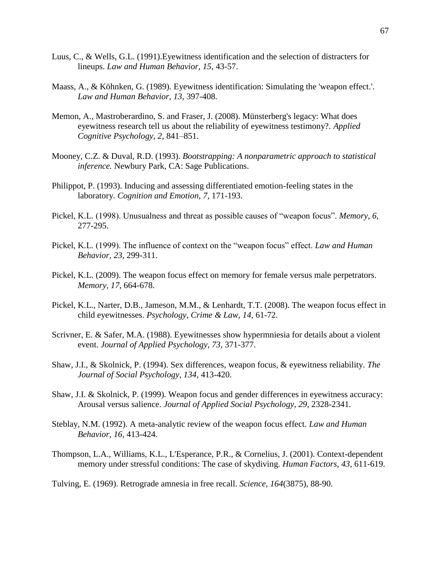- Luus, C., & Wells, G.L. (1991).Eyewitness identification and the selection of distracters for lineups. *Law and Human Behavior, 15*, 43-57.
- Maass, A., & Köhnken, G. (1989). Eyewitness identification: Simulating the 'weapon effect.'. *Law and Human Behavior, 13*, 397-408.
- Memon, A., Mastroberardino, S. and Fraser, J. (2008). Münsterberg's legacy: What does eyewitness research tell us about the reliability of eyewitness testimony?. *Applied Cognitive Psychology, 2,* 841–851.
- Mooney, C.Z. & Duval, R.D. (1993). *Bootstrapping: A nonparametric approach to statistical inference.* Newbury Park, CA: Sage Publications.
- Philippot, P. (1993). Inducing and assessing differentiated emotion-feeling states in the laboratory. *Cognition and Emotion, 7*, 171-193.
- Pickel, K.L. (1998). Unusualness and threat as possible causes of "weapon focus". *Memory, 6*, 277-295.
- Pickel, K.L. (1999). The influence of context on the "weapon focus" effect. *Law and Human Behavior, 23*, 299-311.
- Pickel, K.L. (2009). The weapon focus effect on memory for female versus male perpetrators. *Memory, 17*, 664-678.
- Pickel, K.L., Narter, D.B., Jameson, M.M., & Lenhardt, T.T. (2008). The weapon focus effect in child eyewitnesses. *Psychology, Crime & Law, 14*, 61-72.
- Scrivner, E. & Safer, M.A. (1988). Eyewitnesses show hypermniesia for details about a violent event. *Journal of Applied Psychology, 73*, 371-377.
- Shaw, J.I., & Skolnick, P. (1994). Sex differences, weapon focus, & eyewitness reliability. *The Journal of Social Psychology, 134*, 413-420.
- Shaw, J.I. & Skolnick, P. (1999). Weapon focus and gender differences in eyewitness accuracy: Arousal versus salience. *Journal of Applied Social Psychology, 29*, 2328-2341.
- Steblay, N.M. (1992). A meta-analytic review of the weapon focus effect. *Law and Human Behavior, 16,* 413-424.
- Thompson, L.A., Williams, K.L., L'Esperance, P.R., & Cornelius, J. (2001). Context-dependent memory under stressful conditions: The case of skydiving. *Human Factors, 43*, 611-619.
- Tulving, E. (1969). Retrograde amnesia in free recall. *Science, 164*(3875), 88-90.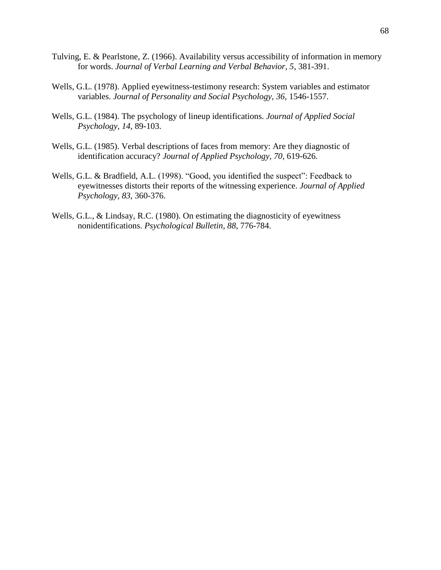- Tulving, E. & Pearlstone, Z. (1966). Availability versus accessibility of information in memory for words. *Journal of Verbal Learning and Verbal Behavior, 5*, 381-391.
- Wells, G.L. (1978). Applied eyewitness-testimony research: System variables and estimator variables. *Journal of Personality and Social Psychology, 36*, 1546-1557.
- Wells, G.L. (1984). The psychology of lineup identifications. *Journal of Applied Social Psychology, 14*, 89-103.
- Wells, G.L. (1985). Verbal descriptions of faces from memory: Are they diagnostic of identification accuracy? *Journal of Applied Psychology, 70,* 619-626.
- Wells, G.L. & Bradfield, A.L. (1998). "Good, you identified the suspect": Feedback to eyewitnesses distorts their reports of the witnessing experience. *Journal of Applied Psychology, 83*, 360-376.
- Wells, G.L., & Lindsay, R.C. (1980). On estimating the diagnosticity of eyewitness nonidentifications. *Psychological Bulletin, 88*, 776-784.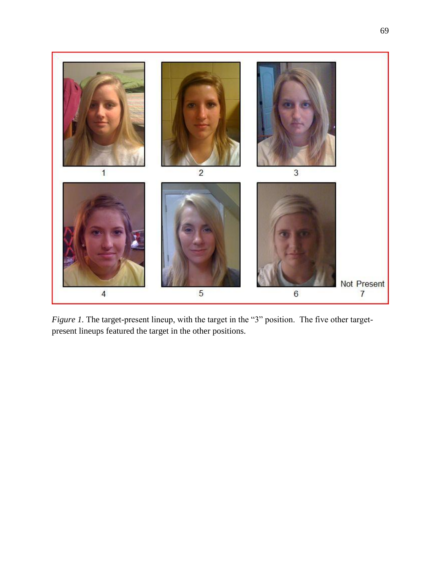

*Figure 1*. The target-present lineup, with the target in the "3" position. The five other targetpresent lineups featured the target in the other positions.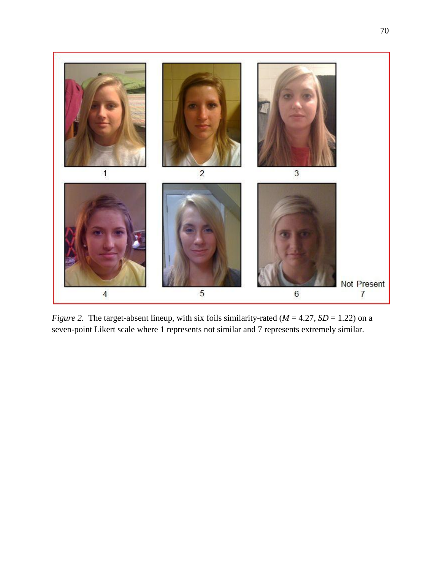

*Figure 2.* The target-absent lineup, with six foils similarity-rated ( $M = 4.27$ ,  $SD = 1.22$ ) on a seven-point Likert scale where 1 represents not similar and 7 represents extremely similar.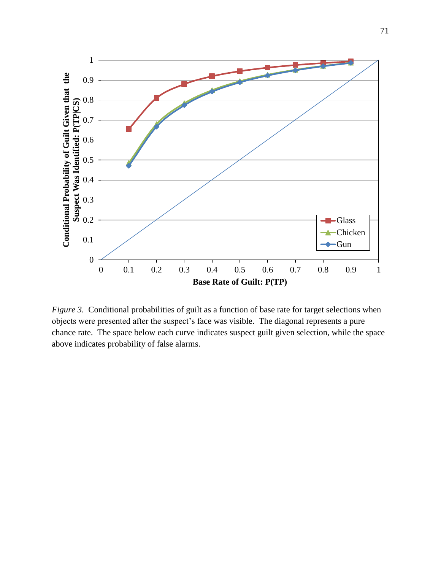

*Figure 3.* Conditional probabilities of guilt as a function of base rate for target selections when objects were presented after the suspect's face was visible. The diagonal represents a pure chance rate. The space below each curve indicates suspect guilt given selection, while the space above indicates probability of false alarms.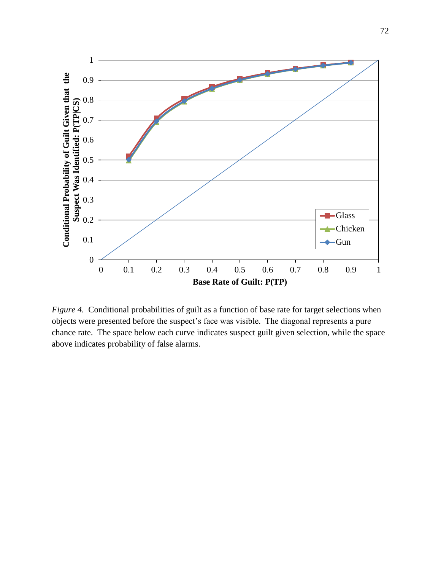

*Figure 4.* Conditional probabilities of guilt as a function of base rate for target selections when objects were presented before the suspect's face was visible. The diagonal represents a pure chance rate. The space below each curve indicates suspect guilt given selection, while the space above indicates probability of false alarms.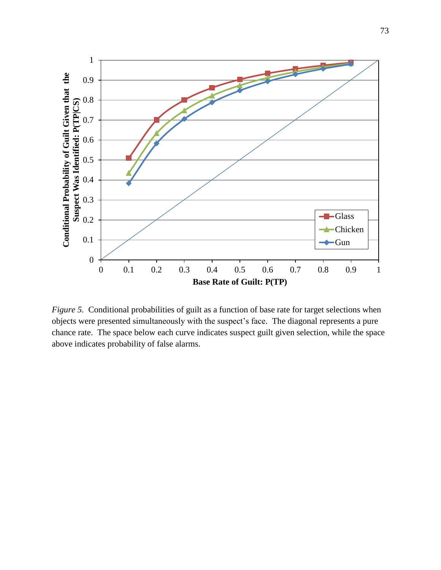

*Figure 5.* Conditional probabilities of guilt as a function of base rate for target selections when objects were presented simultaneously with the suspect's face. The diagonal represents a pure chance rate. The space below each curve indicates suspect guilt given selection, while the space above indicates probability of false alarms.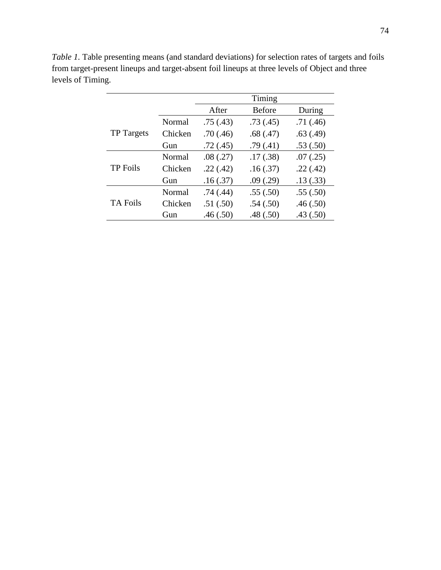|                   |         |           | Timing        |          |
|-------------------|---------|-----------|---------------|----------|
|                   |         | After     | <b>Before</b> | During   |
|                   | Normal  | .75(.43)  | .73(0.45)     | .71(.46) |
| <b>TP</b> Targets | Chicken | .70(.46)  | .68(.47)      | .63(.49) |
|                   | Gun     | .72(0.45) | .79(.41)      | .53(.50) |
| <b>TP</b> Foils   | Normal  | .08(.27)  | .17(.38)      | .07(.25) |
|                   | Chicken | .22(.42)  | .16(.37)      | .22(.42) |
|                   | Gun     | .16(.37)  | .09(.29)      | .13(.33) |
| <b>TA Foils</b>   | Normal  | .74(.44)  | .55(.50)      | .55(.50) |
|                   | Chicken | .51(.50)  | .54(.50)      | .46(.50) |
|                   | Gun     | .46(.50)  | .48(.50)      | .43(.50) |

*Table 1.* Table presenting means (and standard deviations) for selection rates of targets and foils from target-present lineups and target-absent foil lineups at three levels of Object and three levels of Timing.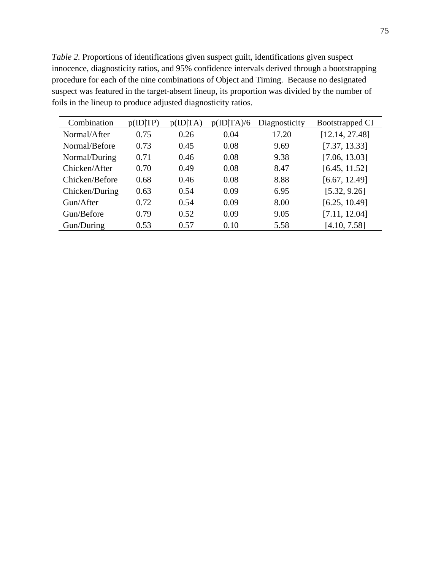*Table 2.* Proportions of identifications given suspect guilt, identifications given suspect innocence, diagnosticity ratios, and 95% confidence intervals derived through a bootstrapping procedure for each of the nine combinations of Object and Timing. Because no designated suspect was featured in the target-absent lineup, its proportion was divided by the number of foils in the lineup to produce adjusted diagnosticity ratios.

| Combination    | p(ID TP) | [ID TA)<br>D) | p(ID TA)/6 | Diagnosticity | <b>Bootstrapped CI</b> |
|----------------|----------|---------------|------------|---------------|------------------------|
| Normal/After   | 0.75     | 0.26          | 0.04       | 17.20         | [12.14, 27.48]         |
| Normal/Before  | 0.73     | 0.45          | 0.08       | 9.69          | [7.37, 13.33]          |
| Normal/During  | 0.71     | 0.46          | 0.08       | 9.38          | [7.06, 13.03]          |
| Chicken/After  | 0.70     | 0.49          | 0.08       | 8.47          | [6.45, 11.52]          |
| Chicken/Before | 0.68     | 0.46          | 0.08       | 8.88          | [6.67, 12.49]          |
| Chicken/During | 0.63     | 0.54          | 0.09       | 6.95          | [5.32, 9.26]           |
| Gun/After      | 0.72     | 0.54          | 0.09       | 8.00          | [6.25, 10.49]          |
| Gun/Before     | 0.79     | 0.52          | 0.09       | 9.05          | [7.11, 12.04]          |
| Gun/During     | 0.53     | 0.57          | 0.10       | 5.58          | [4.10, 7.58]           |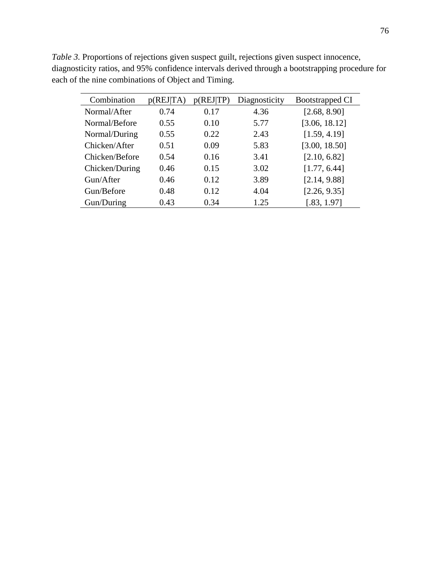| Combination    | p(REJ TA) | p(REJ TP) | Diagnosticity | <b>Bootstrapped CI</b> |
|----------------|-----------|-----------|---------------|------------------------|
| Normal/After   | 0.74      | 0.17      | 4.36          | [2.68, 8.90]           |
| Normal/Before  | 0.55      | 0.10      | 5.77          | [3.06, 18.12]          |
| Normal/During  | 0.55      | 0.22      | 2.43          | [1.59, 4.19]           |
| Chicken/After  | 0.51      | 0.09      | 5.83          | [3.00, 18.50]          |
| Chicken/Before | 0.54      | 0.16      | 3.41          | [2.10, 6.82]           |
| Chicken/During | 0.46      | 0.15      | 3.02          | [1.77, 6.44]           |
| Gun/After      | 0.46      | 0.12      | 3.89          | [2.14, 9.88]           |
| Gun/Before     | 0.48      | 0.12      | 4.04          | [2.26, 9.35]           |
| Gun/During     | 0.43      | 0.34      | 1.25          | [.83, 1.97]            |

Table 3. Proportions of rejections given suspect guilt, rejections given suspect innocence, diagnosticity ratios, and 95% confidence intervals derived through a bootstrapping procedure for each of the nine combinations of Object and Timing.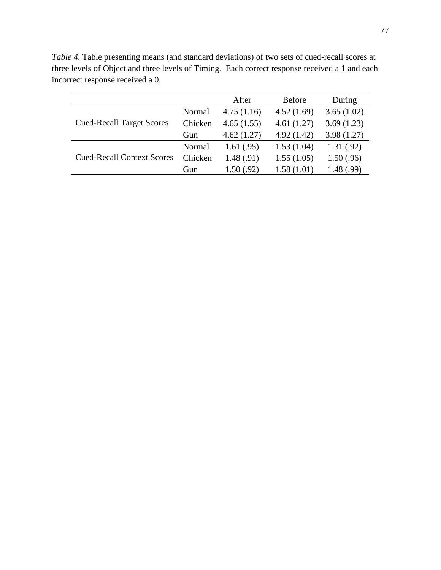|                                   |         | After      | <b>Before</b> | During     |
|-----------------------------------|---------|------------|---------------|------------|
|                                   | Normal  | 4.75(1.16) | 4.52(1.69)    | 3.65(1.02) |
| <b>Cued-Recall Target Scores</b>  | Chicken | 4.65(1.55) | 4.61(1.27)    | 3.69(1.23) |
|                                   | Gun     | 4.62(1.27) | 4.92(1.42)    | 3.98(1.27) |
|                                   | Normal  | 1.61(0.95) | 1.53(1.04)    | 1.31(.92)  |
| <b>Cued-Recall Context Scores</b> | Chicken | 1.48(.91)  | 1.55(1.05)    | 1.50(.96)  |
|                                   | Gun     | 1.50(.92)  | 1.58(1.01)    | 1.48(.99)  |

*Table 4.* Table presenting means (and standard deviations) of two sets of cued-recall scores at three levels of Object and three levels of Timing. Each correct response received a 1 and each incorrect response received a 0.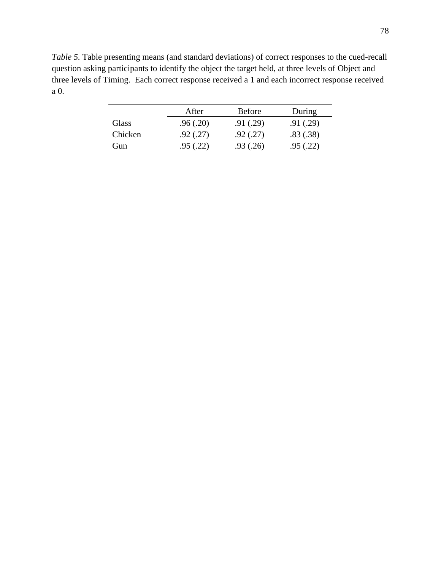*Table 5.* Table presenting means (and standard deviations) of correct responses to the cued-recall question asking participants to identify the object the target held, at three levels of Object and three levels of Timing. Each correct response received a 1 and each incorrect response received a 0.

|         | After     | <b>Before</b> | During   |
|---------|-----------|---------------|----------|
| Glass   | .96(.20)  | .91(.29)      | .91(.29) |
| Chicken | .92(0.27) | .92(.27)      | .83(.38) |
| Gun     | .95(.22)  | .93(.26)      | .95(.22) |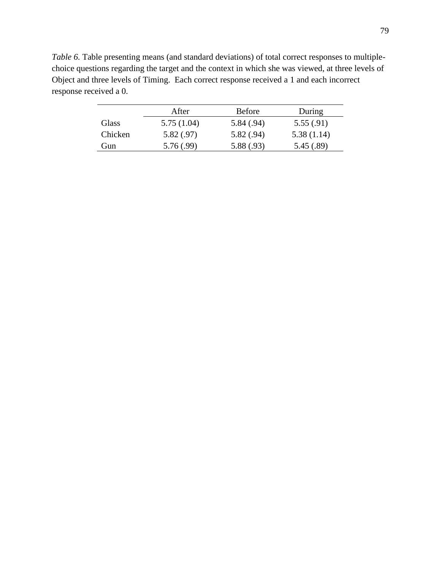*Table 6.* Table presenting means (and standard deviations) of total correct responses to multiplechoice questions regarding the target and the context in which she was viewed, at three levels of Object and three levels of Timing. Each correct response received a 1 and each incorrect response received a 0.

|         | After      | <b>Before</b> | During     |
|---------|------------|---------------|------------|
| Glass   | 5.75(1.04) | 5.84(.94)     | 5.55(.91)  |
| Chicken | 5.82(.97)  | 5.82(.94)     | 5.38(1.14) |
| Gun)    | 5.76(.99)  | 5.88 (.93)    | 5.45 (.89) |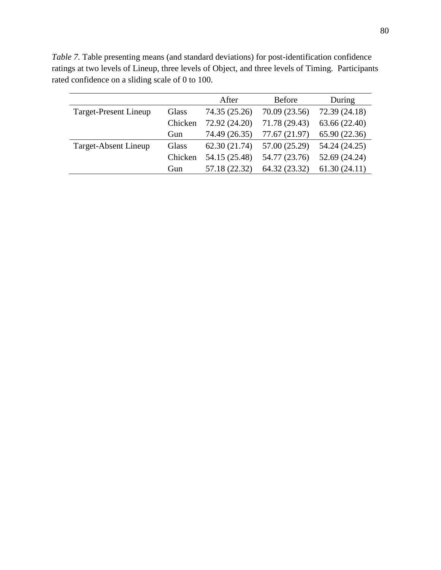After Before During Target-Present Lineup Glass 74.35 (25.26) 70.09 (23.56) 72.39 (24.18) Chicken 72.92 (24.20) 71.78 (29.43) 63.66 (22.40) Gun 74.49 (26.35) 77.67 (21.97) 65.90 (22.36) Target-Absent Lineup Glass 62.30 (21.74) 57.00 (25.29) 54.24 (24.25) Chicken 54.15 (25.48) 54.77 (23.76) 52.69 (24.24) Gun 57.18 (22.32) 64.32 (23.32) 61.30 (24.11)

*Table 7.* Table presenting means (and standard deviations) for post-identification confidence ratings at two levels of Lineup, three levels of Object, and three levels of Timing. Participants rated confidence on a sliding scale of 0 to 100.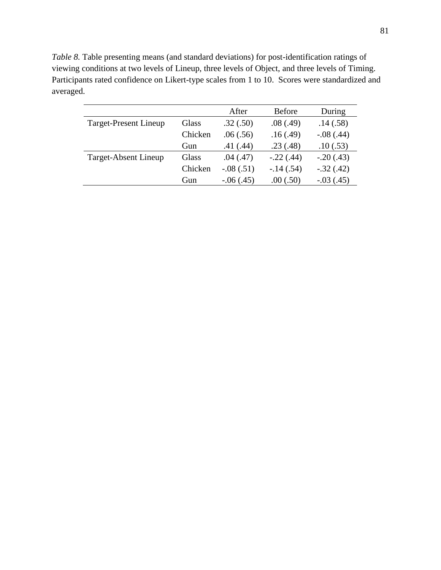*Table 8.* Table presenting means (and standard deviations) for post-identification ratings of viewing conditions at two levels of Lineup, three levels of Object, and three levels of Timing. Participants rated confidence on Likert-type scales from 1 to 10. Scores were standardized and averaged.

|                       |         | After       | <b>Before</b> | During      |
|-----------------------|---------|-------------|---------------|-------------|
| Target-Present Lineup | Glass   | .32(.50)    | .08(.49)      | .14(.58)    |
|                       | Chicken | .06(.56)    | .16(.49)      | $-.08(.44)$ |
|                       | Gun     | .41(.44)    | .23(.48)      | .10(.53)    |
| Target-Absent Lineup  | Glass   | .04(.47)    | $-.22(.44)$   | $-.20(.43)$ |
|                       | Chicken | $-.08(.51)$ | $-14(.54)$    | $-.32(.42)$ |
|                       | Gun     | $-.06(.45)$ | .00(.50)      | $-.03(.45)$ |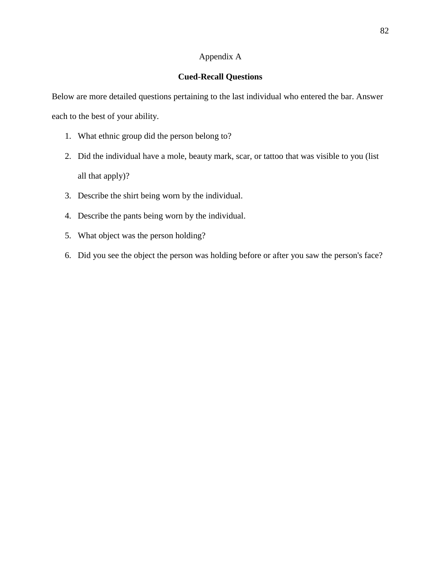# Appendix A

### **Cued-Recall Questions**

Below are more detailed questions pertaining to the last individual who entered the bar. Answer each to the best of your ability.

- 1. What ethnic group did the person belong to?
- 2. Did the individual have a mole, beauty mark, scar, or tattoo that was visible to you (list all that apply)?
- 3. Describe the shirt being worn by the individual.
- 4. Describe the pants being worn by the individual.
- 5. What object was the person holding?
- 6. Did you see the object the person was holding before or after you saw the person's face?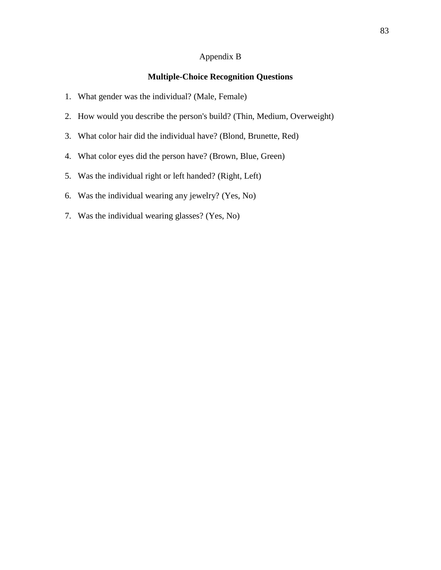## Appendix B

## **Multiple-Choice Recognition Questions**

- 1. What gender was the individual? (Male, Female)
- 2. How would you describe the person's build? (Thin, Medium, Overweight)
- 3. What color hair did the individual have? (Blond, Brunette, Red)
- 4. What color eyes did the person have? (Brown, Blue, Green)
- 5. Was the individual right or left handed? (Right, Left)
- 6. Was the individual wearing any jewelry? (Yes, No)
- 7. Was the individual wearing glasses? (Yes, No)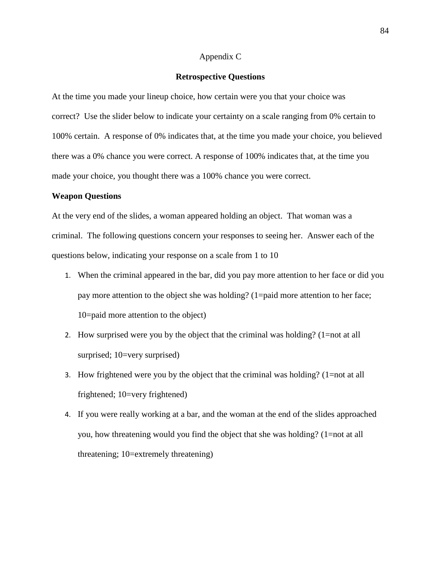### Appendix C

#### **Retrospective Questions**

At the time you made your lineup choice, how certain were you that your choice was correct? Use the slider below to indicate your certainty on a scale ranging from 0% certain to 100% certain. A response of 0% indicates that, at the time you made your choice, you believed there was a 0% chance you were correct. A response of 100% indicates that, at the time you made your choice, you thought there was a 100% chance you were correct.

#### **Weapon Questions**

At the very end of the slides, a woman appeared holding an object. That woman was a criminal. The following questions concern your responses to seeing her. Answer each of the questions below, indicating your response on a scale from 1 to 10

- 1. When the criminal appeared in the bar, did you pay more attention to her face or did you pay more attention to the object she was holding? (1=paid more attention to her face; 10=paid more attention to the object)
- 2. How surprised were you by the object that the criminal was holding? (1=not at all surprised; 10=very surprised)
- 3. How frightened were you by the object that the criminal was holding? (1=not at all frightened; 10=very frightened)
- 4. If you were really working at a bar, and the woman at the end of the slides approached you, how threatening would you find the object that she was holding? (1=not at all threatening; 10=extremely threatening)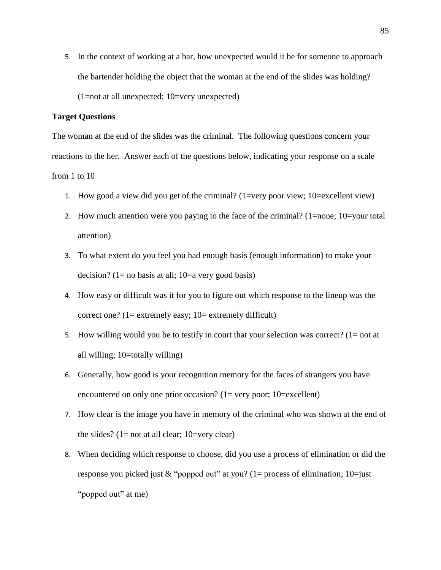5. In the context of working at a bar, how unexpected would it be for someone to approach the bartender holding the object that the woman at the end of the slides was holding? (1=not at all unexpected; 10=very unexpected)

### **Target Questions**

The woman at the end of the slides was the criminal. The following questions concern your reactions to the her. Answer each of the questions below, indicating your response on a scale from 1 to 10

- 1. How good a view did you get of the criminal? (1=very poor view; 10=excellent view)
- 2. How much attention were you paying to the face of the criminal? (1=none; 10=your total attention)
- 3. To what extent do you feel you had enough basis (enough information) to make your decision? (1= no basis at all; 10=a very good basis)
- 4. How easy or difficult was it for you to figure out which response to the lineup was the correct one?  $(1=$  extremely easy;  $10=$  extremely difficult)
- 5. How willing would you be to testify in court that your selection was correct?  $(1=$  not at all willing; 10=totally willing)
- 6. Generally, how good is your recognition memory for the faces of strangers you have encountered on only one prior occasion?  $(1=$  very poor;  $10=$  excellent)
- 7. How clear is the image you have in memory of the criminal who was shown at the end of the slides?  $(1=$  not at all clear;  $10=$ very clear)
- 8. When deciding which response to choose, did you use a process of elimination or did the response you picked just  $&$  "popped out" at you? (1= process of elimination; 10=just "popped out" at me)